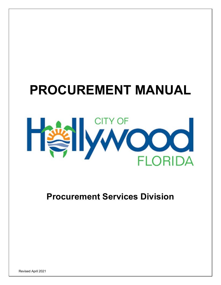# **PROCUREMENT MANUAL**



## **Procurement Services Division**

Revised April 2021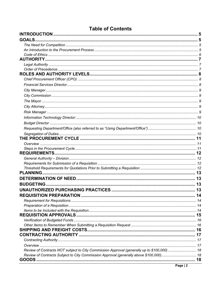| <b>Table of Contents</b>                                                                    |    |  |  |
|---------------------------------------------------------------------------------------------|----|--|--|
|                                                                                             |    |  |  |
| <b>GOALS.</b>                                                                               |    |  |  |
|                                                                                             |    |  |  |
|                                                                                             |    |  |  |
|                                                                                             |    |  |  |
|                                                                                             |    |  |  |
|                                                                                             |    |  |  |
|                                                                                             |    |  |  |
|                                                                                             |    |  |  |
|                                                                                             |    |  |  |
|                                                                                             |    |  |  |
|                                                                                             |    |  |  |
|                                                                                             |    |  |  |
|                                                                                             |    |  |  |
|                                                                                             |    |  |  |
|                                                                                             |    |  |  |
|                                                                                             |    |  |  |
|                                                                                             |    |  |  |
|                                                                                             |    |  |  |
|                                                                                             |    |  |  |
|                                                                                             |    |  |  |
|                                                                                             |    |  |  |
|                                                                                             |    |  |  |
|                                                                                             |    |  |  |
|                                                                                             |    |  |  |
|                                                                                             |    |  |  |
| <b>PLANNING.</b>                                                                            |    |  |  |
|                                                                                             |    |  |  |
| <b>BUDGETING</b>                                                                            | 13 |  |  |
|                                                                                             |    |  |  |
|                                                                                             |    |  |  |
|                                                                                             |    |  |  |
|                                                                                             |    |  |  |
|                                                                                             |    |  |  |
|                                                                                             |    |  |  |
|                                                                                             |    |  |  |
|                                                                                             |    |  |  |
|                                                                                             |    |  |  |
|                                                                                             |    |  |  |
|                                                                                             |    |  |  |
|                                                                                             |    |  |  |
| Review of Contracts NOT subject to City Commission Approval (generally up to \$100,000)  18 |    |  |  |
|                                                                                             |    |  |  |
|                                                                                             |    |  |  |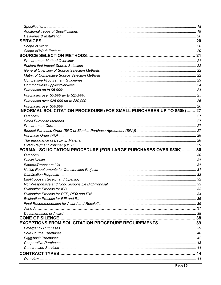| INFORMAL SOLICITATION PROCEDURE (FOR SMALL PURCHASES UP TO \$50k)  27 |  |
|-----------------------------------------------------------------------|--|
|                                                                       |  |
|                                                                       |  |
|                                                                       |  |
|                                                                       |  |
|                                                                       |  |
|                                                                       |  |
|                                                                       |  |
| FORMAL SOLICITATION PROCEDURE (FOR LARGE PURCHASES OVER \$50K) 30     |  |
|                                                                       |  |
|                                                                       |  |
|                                                                       |  |
|                                                                       |  |
|                                                                       |  |
|                                                                       |  |
|                                                                       |  |
|                                                                       |  |
|                                                                       |  |
|                                                                       |  |
|                                                                       |  |
|                                                                       |  |
|                                                                       |  |
|                                                                       |  |
|                                                                       |  |
| EXCEPTIONS FROM SOLICITATION PROCEDURE REQUIREMENTS  39               |  |
|                                                                       |  |
|                                                                       |  |
|                                                                       |  |
|                                                                       |  |
|                                                                       |  |
|                                                                       |  |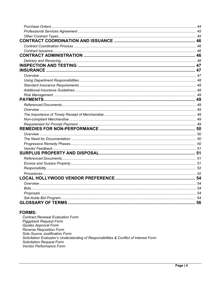#### **FORMS:**

**Contract Renewal Evaluation Form** Piggyback Request Form Quotes Approval Form Reverse Requisition Form Sole Source Justification Form Solicitation Evaluator's Understanding of Responsibilities & Conflict of Interest Form **Solicitation Request Form** Vendor Performance Form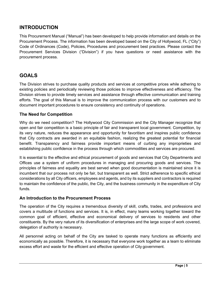## <span id="page-4-0"></span>**INTRODUCTION**

This Procurement Manual ("Manual") has been developed to help provide information and details on the Procurement Process. The information has been developed based on the City of Hollywood, FL ("City") Code of Ordinances (Code), Policies, Procedures and procurement best practices. Please contact the Procurement Services Division ("Division") if you have questions or need assistance with the procurement process.

## <span id="page-4-1"></span>**GOALS**

The Division strives to purchase quality products and services at competitive prices while adhering to existing policies and periodically reviewing those policies to improve effectiveness and efficiency. The Division strives to provide timely services and assistance through effective communication and training efforts. The goal of this Manual is to improve the communication process with our customers and to document important procedures to ensure consistency and continuity of operations.

#### <span id="page-4-2"></span>**The Need for Competition**

Why do we need competition? The Hollywood City Commission and the City Manager recognize that open and fair competition is a basic principle of fair and transparent local government. Competition, by its very nature, reduces the appearance and opportunity for favoritism and inspires public confidence that City contracts are awarded in an equitable fashion, realizing the greatest potential for financial benefit. Transparency and fairness provide important means of curbing any improprieties and establishing public confidence in the process through which commodities and services are procured.

It is essential to the effective and ethical procurement of goods and services that City Departments and Offices use a system of uniform procedures in managing and procuring goods and services. The principles of fairness and equality are best served when good documentation is maintained since it is incumbent that our process not only be fair, but transparent as well. Strict adherence to specific ethical considerations by all City officers, employees and agents, and by its suppliers and contractors is required to maintain the confidence of the public, the City, and the business community in the expenditure of City funds.

#### <span id="page-4-3"></span>**An Introduction to the Procurement Process**

The operation of the City requires a tremendous diversity of skill, crafts, trades, and professions and covers a multitude of functions and services. It is, in effect, many teams working together toward the common goal of efficient, effective and economical delivery of services to residents and other constituents. By the very nature of its diversification of enterprises and the large scope of work covered, delegation of authority is necessary.

All personnel acting on behalf of the City are tasked to operate many functions as efficiently and economically as possible. Therefore, it is necessary that everyone work together as a team to eliminate excess effort and waste for the efficient and effective operation of City government.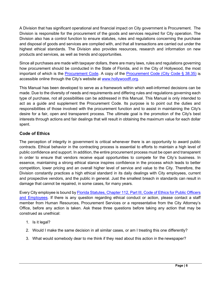A Division that has significant operational and financial impact on City government is Procurement. The Division is responsible for the procurement of the goods and services required for City operation. The Division also has a control function to ensure statutes, rules and regulations concerning the purchase and disposal of goods and services are complied with, and that all transactions are carried out under the highest ethical standards. The Division also provides resources, research and information on new products and services, as well as trends and opportunities.

Since all purchases are made with taxpayer dollars, there are many laws, rules and regulations governing how procurement should be conducted in the State of Florida, and in the City of Hollywood, the most important of which is the [Procurement Code.](https://codelibrary.amlegal.com/codes/hollywood/latest/hollywood_fl/0-0-0-36192) A copy of the [Procurement Code](https://codelibrary.amlegal.com/codes/hollywood/latest/hollywood_fl/0-0-0-36192) (City Code § 38.35) is accessible online through the City's website at [www.hollywoodfl.org.](http://www.hollywoodfl.org/)

This Manual has been developed to serve as a framework within which well-informed decisions can be made. Due to the diversity of needs and requirements and differing rules and regulations governing each type of purchase, not all possibilities can be addressed in this Manual. This Manual is only intended to act as a guide and supplement the Procurement Code. Its purpose is to point out the duties and responsibilities of those involved with the procurement function and to assist in maintaining the City's desire for a fair, open and transparent process. The ultimate goal is the promotion of the City's best interests through actions and fair dealings that will result in obtaining the maximum value for each dollar spent.

## <span id="page-5-0"></span>**Code of Ethics**

The perception of integrity in government is critical whenever there is an opportunity to award public contracts. Ethical behavior in the contracting process is essential to efforts to maintain a high level of public confidence and support. In addition, the entire procurement process must be open and transparent in order to ensure that vendors receive equal opportunities to compete for the City's business. In essence, maintaining a strong ethical stance inspires confidence in the process which leads to better competition, lower pricing and an overall higher level of service and value to the City. Therefore, the Division constantly practices a high ethical standard in its daily dealings with City employees, current and prospective vendors, and the public in general. Just the smallest breach in standards can result in damage that cannot be repaired, in some cases, for many years.

Every City employee is bound b[y Florida Statutes, Chapter 112, Part III, Code of Ethics for Public Officers](http://www.leg.state.fl.us/statutes/index.cfm?App_mode=Display_Statute&Search_String=&URL=0100-0199/0112/0112PARTIIIContentsIndex.html)  [and Employees.](http://www.leg.state.fl.us/statutes/index.cfm?App_mode=Display_Statute&Search_String=&URL=0100-0199/0112/0112PARTIIIContentsIndex.html) If there is any question regarding ethical conduct or action, please contact a staff member from Human Resources, Procurement Services or a representative from the City Attorney's Office, before any action is taken. Ask these three questions before taking any action that may be construed as unethical:

- 1. Is it legal?
- 2. Would I make the same decision in all similar cases, or am I treating this one differently?
- 3. What would somebody dear to me think if they read about this action in the newspaper?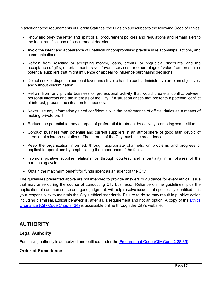In addition to the requirements of Florida Statutes, the Division subscribes to the following Code of Ethics:

- Know and obey the letter and spirit of all procurement policies and regulations and remain alert to the legal ramifications of procurement decisions.
- Avoid the intent and appearance of unethical or compromising practice in relationships, actions, and communications.
- Refrain from soliciting or accepting money, loans, credits, or prejudicial discounts, and the acceptance of gifts, entertainment, travel, favors, services, or other things of value from present or potential suppliers that might influence or appear to influence purchasing decisions.
- Do not seek or dispense personal favor and strive to handle each administrative problem objectively and without discrimination.
- Refrain from any private business or professional activity that would create a conflict between personal interests and the interests of the City. If a situation arises that presents a potential conflict of interest, present the situation to superiors.
- Never use any information gained confidentially in the performance of official duties as a means of making private profit.
- Reduce the potential for any charges of preferential treatment by actively promoting competition.
- Conduct business with potential and current suppliers in an atmosphere of good faith devoid of intentional misrepresentations. The interest of the City must take precedence.
- Keep the organization informed, through appropriate channels, on problems and progress of applicable operations by emphasizing the importance of the facts.
- Promote positive supplier relationships through courtesy and impartiality in all phases of the purchasing cycle.
- Obtain the maximum benefit for funds spent as an agent of the City.

The guidelines presented above are not intended to provide answers or guidance for every ethical issue that may arise during the course of conducting City business. Reliance on the guidelines, plus the application of common sense and good judgment, will help resolve issues not specifically identified. It is your responsibility to maintain the City's ethical standards. Failure to do so may result in punitive action including dismissal. Ethical behavior is, after all, a requirement and not an option. A copy of the Ethics [Ordinance \(City](https://codelibrary.amlegal.com/codes/hollywood/latest/hollywood_fl/0-0-0-35625) Code Chapter 34) is accessible online through the City's website.

## <span id="page-6-0"></span>**AUTHORITY**

#### <span id="page-6-1"></span>**Legal Authority**

Purchasing authority is authorized and outlined under the [Procurement Code](https://codelibrary.amlegal.com/codes/hollywood/latest/hollywood_fl/0-0-0-36192) (City Code § 38.35).

#### <span id="page-6-2"></span>**Order of Precedence**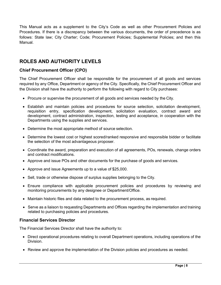This Manual acts as a supplement to the City's Code as well as other Procurement Policies and Procedures. If there is a discrepancy between the various documents, the order of precedence is as follows: State law; City Charter; Code; Procurement Policies; Supplemental Policies; and then this Manual.

## <span id="page-7-0"></span>**ROLES AND AUTHORITY LEVELS**

#### <span id="page-7-1"></span>**Chief Procurement Officer (CPO)**

The Chief Procurement Officer shall be responsible for the procurement of all goods and services required by any Office, Department or agency of the City. Specifically, the Chief Procurement Officer and the Division shall have the authority to perform the following with regard to City purchases:

- Procure or supervise the procurement of all goods and services needed by the City.
- Establish and maintain policies and procedures for source selection, solicitation development, requisition entry, specification development, solicitation evaluation, contract award and development, contract administration, inspection, testing and acceptance, in cooperation with the Departments using the supplies and services.
- Determine the most appropriate method of source selection.
- Determine the lowest cost or highest scored/ranked responsive and responsible bidder or facilitate the selection of the most advantageous proposer.
- Coordinate the award, preparation and execution of all agreements, POs, renewals, change orders and contract modifications.
- Approve and issue POs and other documents for the purchase of goods and services.
- Approve and issue Agreements up to a value of \$25,000.
- Sell, trade or otherwise dispose of surplus supplies belonging to the City.
- Ensure compliance with applicable procurement policies and procedures by reviewing and monitoring procurements by any designee or Department/Office.
- Maintain historic files and data related to the procurement process, as required.
- Serve as a liaison to requesting Departments and Offices regarding the implementation and training related to purchasing policies and procedures.

#### <span id="page-7-2"></span>**Financial Services Director**

The Financial Services Director shall have the authority to:

- Direct operational procedures relating to overall Department operations, including operations of the Division.
- Review and approve the implementation of the Division policies and procedures as needed.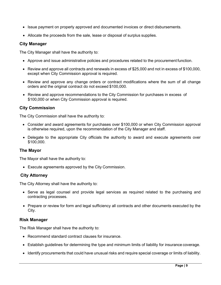- Issue payment on properly approved and documented invoices or direct disbursements.
- Allocate the proceeds from the sale, lease or disposal of surplus supplies.

#### <span id="page-8-0"></span>**City Manager**

The City Manager shall have the authority to:

- Approve and issue administrative policies and procedures related to the procurement function.
- Review and approve all contracts and renewals in excess of \$25,000 and not in excess of \$100,000, except when City Commission approval is required.
- Review and approve any change orders or contract modifications where the sum of all change orders and the original contract do not exceed \$100,000.
- Review and approve recommendations to the City Commission for purchases in excess of \$100,000 or when City Commission approval is required.

#### <span id="page-8-1"></span>**City Commission**

The City Commission shall have the authority to:

- Consider and award agreements for purchases over \$100,000 or when City Commission approval is otherwise required, upon the recommendation of the City Manager and staff.
- Delegate to the appropriate City officials the authority to award and execute agreements over \$100,000.

#### **The Mayor**

The Mayor shall have the authority to:

• Execute agreements approved by the City Commission.

#### <span id="page-8-2"></span>**City Attorney**

The City Attorney shall have the authority to:

- Serve as legal counsel and provide legal services as required related to the purchasing and contracting processes.
- Prepare or review for form and legal sufficiency all contracts and other documents executed by the City.

#### <span id="page-8-3"></span>**Risk Manager**

The Risk Manager shall have the authority to:

- Recommend standard contract clauses for insurance.
- Establish guidelines for determining the type and minimum limits of liability for insurance coverage.
- Identify procurements that could have unusual risks and require special coverage or limits of liability.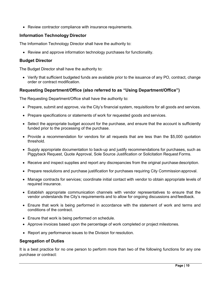• Review contractor compliance with insurance requirements.

#### <span id="page-9-0"></span>**Information Technology Director**

The Information Technology Director shall have the authority to:

• Review and approve information technology purchases for functionality.

#### **Budget Director**

The Budget Director shall have the authority to:

• Verify that sufficient budgeted funds are available prior to the issuance of any PO, contract, change order or contract modification.

#### <span id="page-9-1"></span>**Requesting Department/Office (also referred to as "Using Department/Office")**

The Requesting Department/Office shall have the authority to:

- Prepare, submit and approve, via the City's financial system, requisitions for all goods and services.
- Prepare specifications or statements of work for requested goods and services.
- Select the appropriate budget account for the purchase, and ensure that the account is sufficiently funded prior to the processing of the purchase.
- Provide a recommendation for vendors for all requests that are less than the \$5,000 quotation threshold.
- Supply appropriate documentation to back-up and justify recommendations for purchases, such as Piggyback Request, Quote Approval, Sole Source Justification or Solicitation Request Forms.
- Receive and inspect supplies and report any discrepancies from the original purchase description.
- Prepare resolutions and purchase justification for purchases requiring City Commission approval.
- Manage contracts for services; coordinate initial contact with vendor to obtain appropriate levels of required insurance.
- Establish appropriate communication channels with vendor representatives to ensure that the vendor understands the City's requirements and to allow for ongoing discussions andfeedback.
- Ensure that work is being performed in accordance with the statement of work and terms and conditions of the contract.
- Ensure that work is being performed on schedule.
- Approve invoices based upon the percentage of work completed or project milestones.
- Report any performance issues to the Division for resolution.

#### <span id="page-9-2"></span>**Segregation of Duties**

It is a best practice for no one person to perform more than two of the following functions for any one purchase or contract: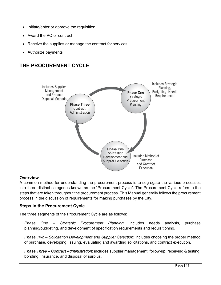- Initiate/enter or approve the requisition
- Award the PO or contract
- Receive the supplies or manage the contract for services
- Authorize payments

## <span id="page-10-0"></span>**THE PROCUREMENT CYCLE**



#### <span id="page-10-1"></span>**Overview**

A common method for understanding the procurement process is to segregate the various processes into three distinct categories known as the "Procurement Cycle". The Procurement Cycle refers to the steps that are taken throughout the procurement process. This Manual generally follows the procurement process in the discussion of requirements for making purchases by the City.

#### <span id="page-10-2"></span>**Steps in the Procurement Cycle**

The three segments of the Procurement Cycle are as follows:

*Phase One* – *Strategic Procurement Planning*: includes needs analysis, purchase planning/budgeting, and development of specification requirements and requisitioning.

*Phase Two* – *Solicitation Development and Supplier Selection*: includes choosing the proper method of purchase, developing, issuing, evaluating and awarding solicitations, and contract execution.

*Phase Three* – *Contract Administration*: includes supplier management, follow-up, receiving & testing, bonding, insurance, and disposal of surplus.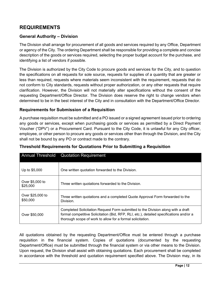## <span id="page-11-0"></span>**REQUIREMENTS**

#### <span id="page-11-1"></span>**General Authority – Division**

The Division shall arrange for procurement of all goods and services required by any Office, Department or agency of the City. The ordering Department shall be responsible for providing a complete and concise description of the goods or services required, selecting the proper budget account for the purchase, and identifying a list of vendors if possible.

The Division is authorized by the City Code to procure goods and services for the City, and to question the specifications on all requests for sole source, requests for supplies of a quantity that are greater or less than required, requests where materials seem inconsistent with the requirement, requests that do not conform to City standards, requests without proper authorization, or any other requests that require clarification. However, the Division will not materially alter specifications without the consent of the requesting Department/Office Director. The Division does reserve the right to change vendors when determined to be in the best interest of the City and in consultation with the Department/Office Director.

#### <span id="page-11-2"></span>**Requirements for Submission of a Requisition**

A purchase requisition must be submitted and a PO issued or a signed agreement issued prior to ordering any goods or services, except when purchasing goods or services as permitted by a Direct Payment Voucher ("DPV") or a Procurement Card. Pursuant to the City Code, it is unlawful for any City officer, employee, or other person to procure any goods or services other than through the Division, and the City shall not be bound by any PO or contract made to the contrary.

|                              | <b>Annual Threshold</b> Quotation Requirement                                                                                                                                                                                             |
|------------------------------|-------------------------------------------------------------------------------------------------------------------------------------------------------------------------------------------------------------------------------------------|
| Up to \$5,000                | One written quotation forwarded to the Division.                                                                                                                                                                                          |
| Over \$5,000 to<br>\$25,000  | Three written quotations forwarded to the Division.                                                                                                                                                                                       |
| Over \$25,000 to<br>\$50,000 | Three written quotations and a completed Quote Approval Form forwarded to the<br>Division.                                                                                                                                                |
| Over \$50,000                | Completed Solicitation Request Form submitted to the Division along with a draft<br>formal competitive Solicitation (Bid, RFP, RLI, etc.), detailed specifications and/or a<br>thorough scope of work to allow for a formal solicitation. |

#### <span id="page-11-3"></span>**Threshold Requirements for Quotations Prior to Submitting a Requisition**

All quotations obtained by the requesting Department/Office must be entered through a purchase requisition in the financial system. Copies of quotations (documented by the requesting Department/Office) must be submitted through the financial system or via other means to the Division. Upon request, the Division shall assist with obtaining quotations. Each procurement shall be completed in accordance with the threshold and quotation requirement specified above. The Division may, in its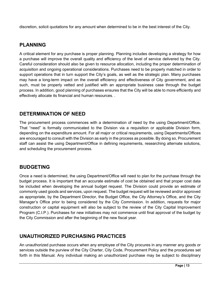discretion, solicit quotations for any amount when determined to be in the best interest of the City.

## <span id="page-12-0"></span>**PLANNING**

A critical element for any purchase is proper planning. Planning includes developing a strategy for how a purchase will improve the overall quality and efficiency of the level of service delivered by the City. Careful consideration should also be given to resource allocation, including the proper determination of acquisition and ongoing operational considerations. Purchases need to be properly matched in order to support operations that in turn support the City's goals, as well as the strategic plan. Many purchases may have a long-term impact on the overall efficiency and effectiveness of City government, and as such, must be properly vetted and justified with an appropriate business case through the budget process. In addition, good planning of purchases ensures that the City will be able to more efficiently and effectively allocate its financial and human resources. .

## <span id="page-12-1"></span>**DETERMINATION OF NEED**

The procurement process commences with a determination of need by the using Department/Office. That "need" is formally communicated to the Division via a requisition or applicable Division form, depending on the expenditure amount. For all major or critical requirements, using Departments/Offices are encouraged to consult with the Division as early in the process as possible. By doing so, Procurement staff can assist the using Department/Office in defining requirements, researching alternate solutions, and scheduling the procurement process.

## <span id="page-12-2"></span>**BUDGETING**

Once a need is determined, the using Department/Office will need to plan for the purchase through the budget process. It is important that an accurate estimate of cost be obtained and that proper cost data be included when developing the annual budget request. The Division could provide an estimate of commonly used goods and services, upon request. The budget request will be reviewed and/or approved as appropriate, by the Department Director, the Budget Office, the City Attorney's Office, and the City Manager's Office prior to being considered by the City Commission. In addition, requests for major construction or capital equipment will also be subject to the review of the City Capital Improvement Program (C.I.P.). Purchases for new initiatives may not commence until final approval of the budget by the City Commission and after the beginning of the new fiscal year.

## <span id="page-12-3"></span>**UNAUTHORIZED PURCHASING PRACTICES**

An unauthorized purchase occurs when any employee of the City procures in any manner any goods or services outside the purview of the City Charter, City Code, Procurement Policy and the procedures set forth in this Manual. Any individual making an unauthorized purchase may be subject to disciplinary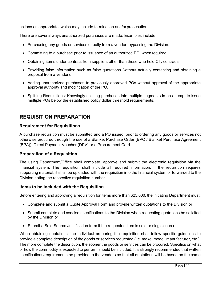actions as appropriate, which may include termination and/or prosecution.

There are several ways unauthorized purchases are made. Examples include:

- Purchasing any goods or services directly from a vendor, bypassing the Division.
- Committing to a purchase prior to issuance of an authorized PO, when required.
- Obtaining items under contract from suppliers other than those who hold City contracts.
- Providing false information such as false quotations (without actually contacting and obtaining a proposal from a vendor).
- Adding unauthorized purchases to previously approved POs without approval of the appropriate approval authority and modification of the PO.
- Splitting Requisitions: Knowingly splitting purchases into multiple segments in an attempt to issue multiple POs below the established policy dollar threshold requirements.

## <span id="page-13-0"></span>**REQUISITION PREPARATION**

#### <span id="page-13-1"></span>**Requirement for Requisitions**

A purchase requisition must be submitted and a PO issued, prior to ordering any goods or services not otherwise procured through the use of a Blanket Purchase Order (BPO / Blanket Purchase Agreement (BPA)), Direct Payment Voucher (DPV) or a Procurement Card.

#### <span id="page-13-2"></span>**Preparation of a Requisition**

The using Department/Office shall complete, approve and submit the electronic requisition via the financial system. The requisition shall include all required information. If the requisition requires supporting material, it shall be uploaded with the requisition into the financial system or forwarded to the Division noting the respective requisition number.

#### <span id="page-13-3"></span>**Items to be Included with the Requisition**

Before entering and approving a requisition for items more than \$25,000, the initiating Department must:

- Complete and submit a Quote Approval Form and provide written quotations to the Division or
- Submit complete and concise specifications to the Division when requesting quotations be solicited by the Division or
- Submit a Sole Source Justification form if the requested item is sole or single source.

When obtaining quotations, the individual preparing the requisition shall follow specific guidelines to provide a complete description of the goods or services requested (i.e. make, model, manufacturer, etc.). The more complete the description, the sooner the goods or services can be procured. Specifics on what or how the commodity is expected to perform should be included. It is strongly recommended that written specifications/requirements be provided to the vendors so that all quotations will be based on the same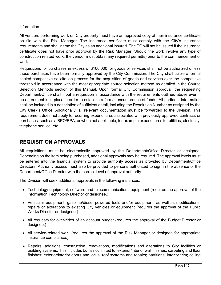information.

All vendors performing work on City property must have an approved copy of their insurance certificate on file with the Risk Manager. The insurance certificate must comply with the City's insurance requirements and shall name the City as an additional insured. The PO will not be issued if the insurance certificate does not have prior approval by the Risk Manager. Should the work involve any type of construction related work, the vendor must obtain any required permit(s) prior to the commencement of work.

Requisitions for purchases in excess of \$100,000 for goods or services shall not be authorized unless those purchases have been formally approved by the City Commission. The City shall utilize a formal sealed competitive solicitation process for the acquisition of goods and services over the competitive threshold in accordance with the most appropriate source selection method as detailed in the Source Selection Methods section of this Manual. Upon formal City Commission approval, the requesting Department/Office shall input a requisition in accordance with the requirements outlined above even if an agreement is in place in order to establish a formal encumbrance of funds. All pertinent information shall be included in a description of sufficient detail, including the Resolution Number as assigned by the City Clerk's Office. Additionally, all relevant documentation must be forwarded to the Division. This requirement does not apply to recurring expenditures associated with previously approved contracts or purchases, such as a BPO/BPA, or when not applicable, for example expenditures for utilities, electricity, telephone service, etc.

## <span id="page-14-0"></span>**REQUISITION APPROVALS**

All requisitions must be electronically approved by the Department/Office Director or designee. Depending on the item being purchased, additional approvals may be required. The approval levels must be entered into the financial system to provide authority access as provided by Department/Office Directors. Authority access must also be provided to persons authorized to sign in the absence of the Department/Office Director with the correct level of approval authority.

The Division will seek additional approvals in the following instances:

- Technology equipment, software and telecommunications equipment (requires the approval of the Information Technology Director or designee.)
- Vehicular equipment, gasoline/diesel powered tools and/or equipment, as well as modifications, repairs or alterations to existing City vehicles or equipment (requires the approval of the Public Works Director or designee.)
- All requests for over-rides of an account budget (requires the approval of the Budget Director or designee.)
- All service-related work (requires the approval of the Risk Manager or designee for appropriate insurance compliance.)
- Repairs, additions, construction, renovations, modifications and alterations to City facilities or building systems. This includes but is not limited to: exterior/interior wall finishes; carpeting and floor finishes; exterior/interior doors and locks; roof systems and repairs; partitions; interior trim; ceiling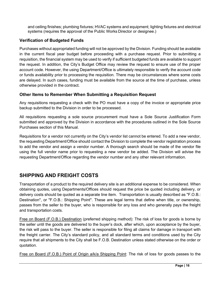and ceiling finishes; plumbing fixtures; HVAC systems and equipment; lighting fixtures and electrical systems (requires the approval of the Public Works Director or designee.)

## <span id="page-15-0"></span>**Verification of Budgeted Funds**

Purchases without appropriated funding will not be approved by the Division. Funding should be available in the current fiscal year budget before proceeding with a purchase request. Prior to submitting a requisition, the financial system may be used to verify if sufficient budgeted funds are available to support the request. In addition, the City's Budget Office may review the request to ensure use of the proper account code. However, the using Department/Office is ultimately responsible to verify the account code or funds availability prior to processing the requisition. There may be circumstances where some costs are delayed. In such cases, funding must be available from the source at the time of purchase, unless otherwise provided in the contract.

#### <span id="page-15-1"></span>**Other Items to Remember When Submitting a Requisition Request**

Any requisitions requesting a check with the PO must have a copy of the invoice or appropriate price backup submitted to the Division in order to be processed.

All requisitions requesting a sole source procurement must have a Sole Source Justification Form submitted and approved by the Division in accordance with the procedures outlined in the Sole Source Purchases section of this Manual.

Requisitions for a vendor not currently on the City's vendor list cannot be entered. To add a new vendor, the requesting Department/Office should contact the Division to complete the vendor registration process to add the vendor and assign a vendor number. A thorough search should be made of the vendor file using the full vendor name prior to requesting a new vendor be added. The Division will advise the requesting Department/Office regarding the vendor number and any other relevant information.

## **SHIPPING AND FREIGHT COSTS**

Transportation of a product to the required delivery site is an additional expense to be considered. When obtaining quotes, using Departments/Offices should request the price be quoted including delivery, or delivery costs should be quoted as a separate line item. Transportation is usually described as "F.O.B.: Destination", or "F.O.B.: Shipping Point". These are legal terms that define when title, or ownership, passes from the seller to the buyer, who is responsible for any loss and who generally pays the freight and transportation costs.

Free on Board (F.O.B.) Destination (preferred shipping method): The risk of loss for goods is borne by the seller until the goods are delivered to the buyer's dock, after which, upon acceptance by the buyer, the risk will pass to the buyer. The seller is responsible for filing all claims for damage in transport with the freight carrier. The City's standard policy, and all standard terms and conditions used by the City require that all shipments to the City shall be F.O.B. Destination unless stated otherwise on the order or quotation.

Free on Board (F.O.B.) Point of Origin a/k/a Shipping Point: The risk of loss for goods passes to the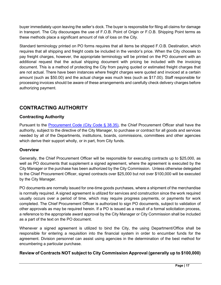buyer immediately upon leaving the seller's dock. The buyer is responsible for filing all claims for damage in transport. The City discourages the use of F.O.B. Point of Origin or F.O.B. Shipping Point terms as these methods place a significant amount of risk of loss on the City.

Standard terminology printed on PO forms requires that all items be shipped F.O.B. Destination, which requires that all shipping and freight costs be included in the vendor's price. When the City chooses to pay freight charges, however, the appropriate terminology will be printed on the PO document with an additional request that the actual shipping document with pricing be included with the invoicing document. This is a method of protecting the City from paying quoted or estimated freight charges that are not actual. There have been instances where freight charges were quoted and invoiced at a certain amount (such as \$50.00) and the actual charge was much less (such as \$17.00). Staff responsible for processing invoices should be aware of these arrangements and carefully check delivery charges before authorizing payment.

## <span id="page-16-0"></span>**CONTRACTING AUTHORITY**

#### <span id="page-16-1"></span>**Contracting Authority**

Pursuant to the [Procurement Code](https://codelibrary.amlegal.com/codes/hollywood/latest/hollywood_fl/0-0-0-36192) (City Code § 38.35), the Chief Procurement Officer shall have the authority, subject to the directive of the City Manager, to purchase or contract for all goods and services needed by all of the Departments, institutions, boards, commissions, committees and other agencies which derive their support wholly, or in part, from City funds.

#### <span id="page-16-2"></span>**Overview**

Generally, the Chief Procurement Officer will be responsible for executing contracts up to \$25,000, as well as PO documents that supplement a signed agreement, where the agreement is executed by the City Manager or the purchase has been authorized by the City Commission. Unless otherwise delegated to the Chief Procurement Officer, signed contracts over \$25,000 but not over \$100,000 will be executed by the City Manager.

PO documents are normally issued for one-time goods purchases, where a shipment of the merchandise is normally required. A signed agreement is utilized for services and construction since the work required usually occurs over a period of time, which may require progress payments, or payments for work completed. The Chief Procurement Officer is authorized to sign PO documents, subject to validation of other approvals as may be required herein. If a PO is issued as a result of a formal solicitation process, a reference to the appropriate award approval by the City Manager or City Commission shall be included as a part of the text on the PO document.

Whenever a signed agreement is utilized to bind the City, the using Department/Office shall be responsible for entering a requisition into the financial system in order to encumber funds for the agreement. Division personnel can assist using agencies in the determination of the best method for encumbering a particular purchase.

## <span id="page-16-3"></span>**Review of Contracts NOT subject to City Commission Approval (generally up to \$100,000)**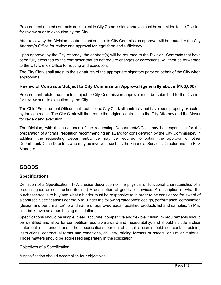Procurement related contracts not subject to City Commission approval must be submitted to the Division for review prior to execution by the City.

After review by the Division, contracts not subject to City Commission approval will be routed to the City Attorney's Office for review and approval for legal form and sufficiency.

Upon approval by the City Attorney, the contract(s) will be returned to the Division. Contracts that have been fully executed by the contractor that do not require changes or corrections, will then be forwarded to the City Clerk's Office for routing and execution.

The City Clerk shall attest to the signatures of the appropriate signatory party on behalf of the City when appropriate.

#### <span id="page-17-0"></span>**Review of Contracts Subject to City Commission Approval (generally above \$100,000)**

Procurement related contracts subject to City Commission approval must be submitted to the Division for review prior to execution by the City.

The Chief Procurement Officer shall route to the City Clerk all contracts that have been properly executed by the contractor. The City Clerk will then route the original contracts to the City Attorney and the Mayor for review and execution.

The Division, with the assistance of the requesting Department/Office, may be responsible for the preparation of a formal resolution recommending an award for consideration by the City Commission. In addition, the requesting Department/Office may be required to obtain the approval of other Department/Office Directors who may be involved, such as the Financial Services Director and the Risk Manager.

## <span id="page-17-1"></span>**GOODS**

#### <span id="page-17-2"></span>**Specifications**

Definition of a Specification: 1) A precise description of the physical or functional characteristics of a product, good or construction item. 2) A description of goods or services. A description of what the purchaser seeks to buy and what a bidder must be responsive to in order to be considered for award of a contract. Specifications generally fall under the following categories: design, performance, combination (design and performance), brand name or approved equal, qualified products list and samples. 3) May also be known as a purchasing description.

Specifications should be simple, clear, accurate, competitive and flexible. Minimum requirements should be identified and allow for competition, equitable award and measurability, and should include a clear statement of intended use. The specifications portion of a solicitation should not contain bidding instructions, contractual terms and conditions, delivery, pricing formats or sheets, or similar material. Those matters should be addressed separately in the solicitation.

#### Objectives of a Specification:

A specification should accomplish four objectives: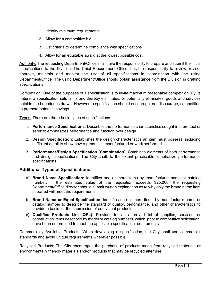- 1. Identify minimum requirements
- 2. Allow for a competitive bid
- 3. List criteria to determine compliance with specifications
- 4. Allow for an equitable award at the lowest possible cost

Authority: The requesting Department/Office shall have the responsibility to prepare and submit the initial specifications to the Division. The Chief Procurement Officer has the responsibility to review, revise, approve, maintain and monitor the use of all specifications in coordination with the using Department/Office. The using Department/Office should obtain assistance from the Division in drafting specifications.

Competition: One of the purposes of a specification is to invite maximum reasonable competition. By its nature, a specification sets limits and thereby eliminates, or potentially eliminates, goods and services outside the boundaries drawn. However, a specification should encourage, not discourage, competition to promote potential savings.

Types: There are three basic types of specifications:

- 1. **Performance Specifications**: Describes the performance characteristics sought in a product or service; emphasizes performance and function over design.
- 2. **Design Specification**: Establishes the design characteristics an item must possess, including sufficient detail to show how a product is manufactured or work performed.
- 3. **Performance/Design Specification (Combination**): Combines elements of both performance and design specifications. The City shall, to the extent practicable, emphasize performance specifications.

#### <span id="page-18-0"></span>**Additional Types of Specifications**

- a) **Brand Name Specification:** Identifies one or more items by manufacturer name or catalog number. If the estimated value of the requisition exceeds \$25,000, the requesting Department/Office director should submit written explanation as to why only the brand name item specified will meet the requirements.
- b) **Brand Name or Equal Specification**: Identifies one or more items by manufacturer name or catalog number to describe the standard of quality, performance, and other characteristics to provide a basis for the submission of equivalent products.
- c) **Qualified Products List (QPL):** Provides for an approved list of supplies, services, or construction items described by model or catalog numbers, which, prior to competitive solicitation, have been determined to meet the applicable specification requirements.

Commercially Available Products: When developing a specification, the City shall use commercial standards and avoid unique requirements wherever possible.

Recycled Products: The City encourages the purchase of products made from recycled materials or environmentally friendly materials and/or products that may be recycled after use.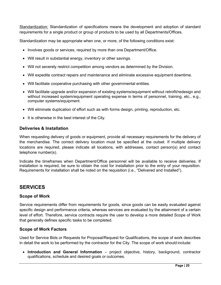Standardization: Standardization of specifications means the development and adoption of standard requirements for a single product or group of products to be used by all Departments/Offices.

Standardization may be appropriate when one, or more, of the following conditions exist:

- Involves goods or services, required by more than one Department/Office.
- Will result in substantial energy, inventory or other savings.
- Will not severely restrict competition among vendors as determined by the Division.
- Will expedite contract repairs and maintenance and eliminate excessive equipment downtime.
- Will facilitate cooperative purchasing with other governmental entities.
- Will facilitate upgrade and/or expansion of existing systems/equipment without retrofit/redesign and without increased system/equipment operating expense in terms of personnel, training, etc., e.g., computer systems/equipment.
- Will eliminate duplication of effort such as with forms design, printing, reproduction, etc.
- It is otherwise in the best interest of the City.

#### **Deliveries & Installation**

When requesting delivery of goods or equipment, provide all necessary requirements for the delivery of the merchandise. The correct delivery location must be specified at the outset. If multiple delivery locations are required, please indicate all locations, with addresses, contact person(s) and contact telephone number(s).

Indicate the timeframes when Department/Office personnel will be available to receive deliveries. If installation is required, be sure to obtain the cost for installation prior to the entry of your requisition. Requirements for installation shall be noted on the requisition (i.e., "Delivered and Installed").

## **SERVICES**

#### <span id="page-19-0"></span>**Scope of Work**

Service requirements differ from requirements for goods, since goods can be easily evaluated against specific design and performance criteria, whereas services are evaluated by the attainment of a certain level of effort. Therefore, service contracts require the user to develop a more detailed Scope of Work that generally defines specific tasks to be completed.

#### <span id="page-19-1"></span>**Scope of Work Factors**

Used for Service Bids or Requests for Proposal/Request for Qualifications, the scope of work describes in detail the work to be performed by the contractor for the City. The scope of work should include:

• **Introduction and General Information** – project objective, history, background, contractor qualifications, schedule and desired goals or outcomes.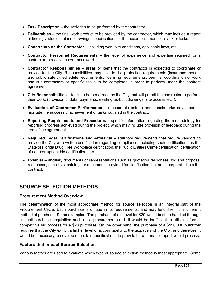- **Task Description** the activities to be performed by the contractor.
- **Deliverables**  the final work product to be provided by the contractor, which may include a report of findings, studies, plans, drawings, specifications or the accomplishment of a task or tasks.
- **Constraints on the Contractor**  including work site conditions, applicable laws, etc.
- **Contractor Personnel Requirements**  the level of experience and expertise required for a contractor to receive a contract award.
- **Contractor Responsibilities**  areas or items that the contractor is expected to coordinate or provide for the City. Responsibilities may include risk protection requirements (insurance, bonds, and public safety), schedule requirements, licensing requirements, permits, coordination of work and sub-contractors or specific tasks to be completed in order to perform under the contract agreement.
- **City Responsibilities**  tasks to be performed by the City that will permit the contractor to perform their work. (provision of data, payments, existing as-built drawings, site access, etc.).
- **Evaluation of Contractor Performance**  measurable criteria and benchmarks developed to facilitate the successful achievement of tasks outlined in the contract.
- **Reporting Requirements and Procedures**  specific information regarding the methodology for reporting progress achieved during the project, which may include provision of feedback during the term of the agreement.
- **Required Legal Certifications and Affidavits**  statutory requirements that require vendors to provide the City with written certification regarding compliance, including such certifications as the State of Florida Drug Free Workplace certification, the Public Entities Crime certification, certification of non-corruption, bid certification, etc.
- **Exhibits** ancillary documents or representations such as quotation responses, bid and proposal responses, price lists, catalogs or documents provided for clarification that are incorporated into the contract.

## <span id="page-20-1"></span><span id="page-20-0"></span>**SOURCE SELECTION METHODS**

#### <span id="page-20-2"></span>**Procurement Method Overview**

The determination of the most appropriate method for source selection is an integral part of the Procurement Cycle. Each purchase is unique in its requirements, and may lend itself to a different method of purchase. Some examples: The purchase of a shovel for \$20 would best be handled through a small purchase acquisition such as a procurement card. It would be inefficient to utilize a formal competitive bid process for a \$20 purchase. On the other hand, the purchase of a \$150,000 bulldozer requires that the City exhibit a higher level of accountability to the taxpayers of the City, and therefore, it would be necessary to develop open, fair specifications to provide for a formal competitive bid process.

#### <span id="page-20-3"></span>**Factors that Impact Source Selection**

Various factors are used to evaluate which type of source selection method is most appropriate. Some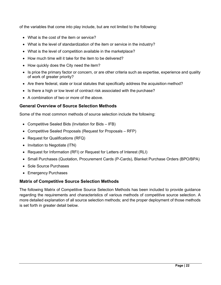of the variables that come into play include, but are not limited to the following:

- What is the cost of the item or service?
- What is the level of standardization of the item or service in the industry?
- What is the level of competition available in the marketplace?
- How much time will it take for the item to be delivered?
- How quickly does the City need the item?
- Is price the primary factor or concern, or are other criteria such as expertise, experience and quality of work of greater priority?
- Are there federal, state or local statutes that specifically address the acquisition method?
- Is there a high or low level of contract risk associated with the purchase?
- A combination of two or more of the above.

#### <span id="page-21-0"></span>**General Overview of Source Selection Methods**

Some of the most common methods of source selection include the following:

- Competitive Sealed Bids (Invitation for Bids IFB)
- Competitive Sealed Proposals (Request for Proposals RFP)
- Request for Qualifications (RFQ)
- Invitation to Negotiate (ITN)
- Request for Information (RFI) or Request for Letters of Interest (RLI)
- Small Purchases (Quotation, Procurement Cards (P-Cards), Blanket Purchase Orders (BPO/BPA)
- Sole Source Purchases
- Emergency Purchases

#### <span id="page-21-1"></span>**Matrix of Competitive Source Selection Methods**

The following Matrix of Competitive Source Selection Methods has been included to provide guidance regarding the requirements and characteristics of various methods of competitive source selection. A more detailed explanation of all source selection methods; and the proper deployment of those methods is set forth in greater detail below.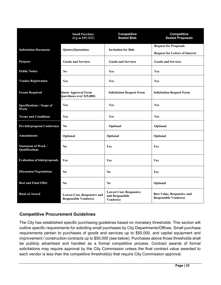|                                              | <b>Small Purchase</b><br>(Up to \$50,000)                          | <b>Competitive</b><br><b>Sealed Bids</b>                       | Competitive<br><b>Sealed Proposals</b>                                 |
|----------------------------------------------|--------------------------------------------------------------------|----------------------------------------------------------------|------------------------------------------------------------------------|
| <b>Solicitation Document</b>                 | <b>Quotes/Quotations</b>                                           | <b>Invitation for Bids</b>                                     | <b>Request for Proposals</b><br><b>Request for Letters of Interest</b> |
| <b>Purpose</b>                               | <b>Goods and Services</b>                                          | <b>Goods and Services</b>                                      | <b>Goods and Services</b>                                              |
| <b>Public Notice</b>                         | N <sub>0</sub>                                                     | Yes                                                            | Yes                                                                    |
| <b>Vendor Registration</b>                   | Yes                                                                | Yes                                                            | Yes                                                                    |
| <b>Forms Required</b>                        | <b>Quote Approval Form</b><br>(purchases over \$25,000)            | <b>Solicitation Request Form</b>                               | <b>Solicitation Request Form</b>                                       |
| <b>Specifications / Scope of</b><br>Work     | Yes                                                                | <b>Yes</b>                                                     | Yes                                                                    |
| <b>Terms and Conditions</b>                  | Yes                                                                | Yes                                                            | Yes                                                                    |
| Pre-bid/proposal Conference                  | N <sub>0</sub>                                                     | Optional                                                       | Optional                                                               |
| <b>Amendments</b>                            | Optional                                                           | Optional                                                       | Optional                                                               |
| <b>Statement of Work /</b><br>Qualifications | No                                                                 | Yes                                                            | Yes                                                                    |
| <b>Evaluation of bids/proposals</b>          | Yes                                                                | Yes                                                            | Yes                                                                    |
| <b>Discussion/Negotiations</b>               | N <sub>0</sub>                                                     | N <sub>0</sub>                                                 | Yes                                                                    |
| <b>Best and Final Offer</b>                  | N <sub>0</sub>                                                     | N <sub>0</sub>                                                 | Optional                                                               |
| <b>Basis of Award</b>                        | <b>Lowest Cost, Responsive and</b><br><b>Responsible Vendor(s)</b> | <b>Lowest Cost, Responsive</b><br>and Responsible<br>Vendor(s) | <b>Best Value, Responsive and</b><br><b>Responsible Vendor(s)</b>      |

#### <span id="page-22-0"></span>**Competitive Procurement Guidelines**

The City has established specific purchasing guidelines based on monetary thresholds. This section will outline specific requirements for soliciting small purchases by City Departments/Offices. Small purchase requirements pertain to purchases of goods and services up to \$50,000, and capital equipment and improvement / construction contracts up to \$50,000 (see below). Purchases above those thresholds shall be publicly advertised and handled as a formal competitive process. Contract awards of formal solicitations may require approval by the City Commission unless the final contract value awarded to each vendor is less than the competitive threshold(s) that require City Commission approval.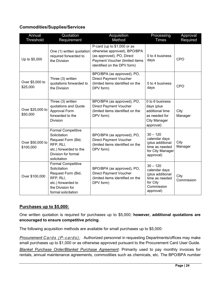#### <span id="page-23-0"></span>**Commodities/Supplies/Services**

| Annual<br><b>Threshold</b>    | Quotation<br>Requirement                                                                                                                      | Acquisition<br>Method                                                                                                                                     | Processing<br><b>Times</b>                                                                                         | Approval<br>Required |
|-------------------------------|-----------------------------------------------------------------------------------------------------------------------------------------------|-----------------------------------------------------------------------------------------------------------------------------------------------------------|--------------------------------------------------------------------------------------------------------------------|----------------------|
| Up to \$5,000                 | One (1) written quotation<br>required forwarded to<br>the Division                                                                            | P-card (up to \$1,000 or as<br>otherwise approved), BPO/BPA<br>(as approved), PO, Direct<br>Payment Voucher (limited items<br>identified on the DPV form) | 0 to 4 business<br>days                                                                                            | CPO                  |
| Over \$5,000 to<br>\$25,000   | Three (3) written<br>quotations forwarded to<br>the Division                                                                                  | BPO/BPA (as approved), PO,<br><b>Direct Payment Voucher</b><br>(limited items identified on the<br>DPV form)                                              | 0 to 4 business<br>days                                                                                            | CPO                  |
| Over \$25,000 to<br>\$50,000  | Three (3) written<br>quotations and Quote<br>Approval Form<br>forwarded to the<br>Division                                                    | BPO/BPA (as approved), PO,<br><b>Direct Payment Voucher</b><br>(limited items identified on the<br>DPV form)                                              | $\overline{0}$ to 6 business<br>days (plus<br>additional time<br>as needed for<br><b>City Manager</b><br>approval) | City<br>Manager      |
| Over \$50,000 to<br>\$100,000 | <b>Formal Competitive</b><br>Solicitation<br>Request Form (Bid,<br>RFP, RLI,<br>etc.) forwarded to the<br>Division for formal<br>solicitation | BPO/BPA (as approved), PO,<br><b>Direct Payment Voucher</b><br>(limited items identified on the<br>DPV form)                                              | $30 - 120$<br>calendar days<br>(plus additional<br>time as needed<br>for City Manager<br>approval)                 | City<br>Manager      |
| Over \$100,000                | <b>Formal Competitive</b><br>Solicitation<br>Request Form (Bid,<br>RFP, RLI,<br>etc.) forwarded to<br>the Division for<br>formal solicitation | BPO/BPA (as approved), PO,<br><b>Direct Payment Voucher</b><br>(limited items identified on the<br>DPV form)                                              | $30 - 120$<br>calendar days<br>(plus additional<br>time as needed<br>for City<br>Commission<br>approval)           | City<br>Commission   |

#### <span id="page-23-1"></span>**Purchases up to \$5,000:**

One written quotation is required for purchases up to \$5,000; **however, additional quotations are encouraged to ensure competitive pricing.** 

The following acquisition methods are available for small purchases up to \$5,000:

*Procurement Cards (P-cards):* Authorized personnel in requesting Departments/offices may make small purchases up to \$1,000 or as otherwise approved pursuant to the Procurement Card User Guide.

*Blanket Purchase Order/Blanket Purchase Agreement*: Primarily used to pay monthly invoices for rentals, annual maintenance agreements, commodities such as chemicals, etc. The BPO/BPA number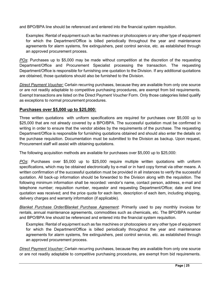and BPO/BPA line should be referenced and entered into the financial system requisition.

Examples: Rental of equipment such as fax machines or photocopiers or any other type of equipment for which the Department/Office is billed periodically throughout the year and maintenance agreements for alarm systems, fire extinguishers, pest control service, etc. as established through an approved procurement process.

*POs*: Purchases up to \$5,000 may be made without competition at the discretion of the requesting Department/Office and Procurement Specialist processing the transaction. The requesting Department/Office is responsible for furnishing one quotation to the Division. If any additional quotations are obtained, those quotations should also be furnished to the Division.

*Direct Payment Voucher:* Certain recurring purchases, because they are available from only one source or are not readily adaptable to competitive purchasing procedures, are exempt from bid requirements. Exempt transactions are listed on the Direct Payment Voucher Form. Only those categories listed qualify as exceptions to normal procurement procedures.

#### <span id="page-24-0"></span>**Purchases over \$5,000 up to \$25,000:**

Three written quotations with uniform specifications are required for purchases over \$5,000 up to \$25,000 that are not already covered by a BPO/BPA. The successful quotation must be confirmed in writing in order to ensure that the vendor abides by the requirements of the purchase. The requesting Department/Office is responsible for furnishing quotations obtained and should also enter the details on the purchase requisition. Documentation must be submitted to the Division as backup. Upon request, Procurement staff will assist with obtaining quotations.

The following acquisition methods are available for purchases over \$5,000 up to \$25,000:

*POs*: Purchases over \$5,000 up to \$25,000 require multiple written quotations with uniform specifications, which may be obtained electronically by e-mail or in hard copy format via other means. A written confirmation of the successful quotation must be provided in all instances to verify the successful quotation. All back-up information should be forwarded to the Division along with the requisition. The following minimum information shall be recorded: vendor's name, contact person, address, e-mail and telephone number; requisition number, requestor and requesting Department/Office; date and time quotation was received; and the price quote for each item, description of each item, including shipping, delivery charges and warranty information (if applicable).

*Blanket Purchase Order/Blanket Purchase Agreement*: Primarily used to pay monthly invoices for rentals, annual maintenance agreements, commodities such as chemicals, etc. The BPO/BPA number and BPO/BPA line should be referenced and entered into the financial system requisition.

Examples: Rental of equipment such as fax machines or photocopiers or any other type of equipment for which the Department/Office is billed periodically throughout the year and maintenance agreements for alarm systems, fire extinguishers, pest control service, etc. as established through an approved procurement process.

*Direct Payment Voucher:* Certain recurring purchases, because they are available from only one source or are not readily adaptable to competitive purchasing procedures, are exempt from bid requirements.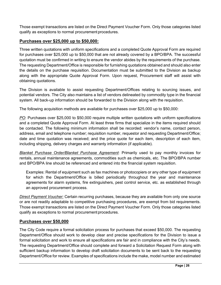Those exempt transactions are listed on the Direct Payment Voucher Form. Only those categories listed qualify as exceptions to normal procurement procedures.

#### <span id="page-25-0"></span>**Purchases over \$25,000 up to \$50,000:**

Three written quotations with uniform specifications and a completed Quote Approval Form are required for purchases over \$25,000 up to \$50,000 that are not already covered by a BPO/BPA. The successful quotation must be confirmed in writing to ensure the vendor abides by the requirements of the purchase. The requesting Department/Office is responsible for furnishing quotations obtained and should also enter the details on the purchase requisition. Documentation must be submitted to the Division as backup along with the appropriate Quote Approval Form. Upon request, Procurement staff will assist with obtaining quotations.

The Division is available to assist requesting Department/Offices relating to sourcing issues, and potential vendors. The City also maintains a list of vendors delineated by commodity type in the financial system. All back-up information should be forwarded to the Division along with the requisition.

The following acquisition methods are available for purchases over \$25,000 up to \$50,000:

*PO*: Purchases over \$25,000 to \$50,000 require multiple written quotations with uniform specifications and a completed Quote Approval Form. At least three firms that specialize in the items required should be contacted. The following minimum information shall be recorded: vendor's name, contact person, address, email and telephone number; requisition number, requestor and requesting Department/Office; date and time quotation was received; and the price quote for each item, description of each item, including shipping, delivery charges and warranty information (if applicable).

*Blanket Purchase Order/Blanket Purchase Agreement*: Primarily used to pay monthly invoices for rentals, annual maintenance agreements, commodities such as chemicals, etc. The BPO/BPA number and BPO/BPA line should be referenced and entered into the financial system requisition.

Examples: Rental of equipment such as fax machines or photocopiers or any other type of equipment for which the Department/Office is billed periodically throughout the year and maintenance agreements for alarm systems, fire extinguishers, pest control service, etc. as established through an approved procurement process.

*Direct Payment Voucher:* Certain recurring purchases, because they are available from only one source or are not readily adaptable to competitive purchasing procedures, are exempt from bid requirements. Those exempt transactions are listed on the Direct Payment Voucher Form. Only those categories listed qualify as exceptions to normal procurement procedures.

#### <span id="page-25-1"></span>**Purchases over \$50,000**

The City Code require a formal solicitation process for purchases that exceed \$50,000. The requesting Department/Office should work to develop clear and precise specifications for the Division to issue a formal solicitation and work to ensure all specifications are fair and in compliance with the City's needs. The requesting Department/Office should complete and forward a Solicitation Request Form along with sufficient backup information to develop draft solicitation documents to be sent back to the requesting Department/Office for review. Examples of specifications include the make, model number and estimated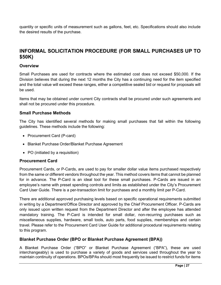quantity or specific units of measurement such as gallons, feet, etc. Specifications should also include the desired results of the purchase.

## **INFORMAL SOLICITATION PROCEDURE (FOR SMALL PURCHASES UP TO \$50K)**

#### **Overview**

Small Purchases are used for contracts where the estimated cost does not exceed \$50,000. If the Division believes that during the next 12 months the City has a continuing need for the item specified and the total value will exceed these ranges, either a competitive sealed bid or request for proposals will be used.

Items that may be obtained under current City contracts shall be procured under such agreements and shall not be procured under this procedure.

#### **Small Purchase Methods**

The City has identified several methods for making small purchases that fall within the following guidelines. These methods include the following:

- Procurement Card (P-card)
- Blanket Purchase Order/Blanket Purchase Agreement
- PO (initiated by a requisition)

#### **Procurement Card**

Procurement Cards, or P-Cards, are used to pay for smaller dollar value items purchased respectively from the same or different vendors throughout the year. This method covers items that cannot be planned for in advance. The P-Card is an ideal tool for these small purchases. P-Cards are issued in an employee's name with preset spending controls and limits as established under the City's Procurement Card User Guide. There is a per-transaction limit for purchases and a monthly limit per P-Card.

There are additional approved purchasing levels based on specific operational requirements submitted in writing by a Department/Office Director and approved by the Chief Procurement Officer. P-Cards are only issued upon written request from the Department Director and after the employee has attended mandatory training. The P-Card is intended for small dollar, non-recurring purchases such as miscellaneous supplies, hardware, small tools, auto parts, food supplies, memberships and certain travel. Please refer to the Procurement Card User Guide for additional procedural requirements relating to this program.

#### **Blanket Purchase Order (BPO or Blanket Purchase Agreement (BPA))**

A Blanket Purchase Order ("BPO" or Blanket Purchase Agreement ("BPA"), these are used interchangeably) is used to purchase a variety of goods and services used throughout the year to maintain continuity of operations. BPOs/BPAs should most frequently be issued to restrict funds for items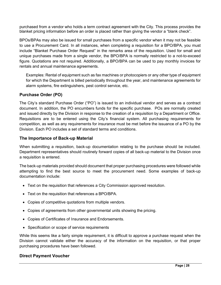purchased from a vendor who holds a term contract agreement with the City. This process provides the blanket pricing information before an order is placed rather than giving the vendor a "blank check".

BPOs/BPAs may also be issued for small purchases from a specific vendor when it may not be feasible to use a Procurement Card. In all instances, when completing a requisition for a BPO/BPA, you must include "Blanket Purchase Order Request" in the remarks area of the requisition. Used for small and unique purchases made from a single vendor, the BPO/BPA is normally restricted to a not-to-exceed figure. Quotations are not required. Additionally, a BPO/BPA can be used to pay monthly invoices for rentals and annual maintenance agreements.

Examples: Rental of equipment such as fax machines or photocopiers or any other type of equipment for which the Department is billed periodically throughout the year, and maintenance agreements for alarm systems, fire extinguishers, pest control service, etc.

#### **Purchase Order (PO)**

The City's standard Purchase Order ("PO") is issued to an individual vendor and serves as a contract document. In addition, the PO encumbers funds for the specific purchase. POs are normally created and issued directly by the Division in response to the creation of a requisition by a Department or Office. Requisitions are to be entered using the City's financial system. All purchasing requirements for competition, as well as any requirements for insurance must be met before the issuance of a PO by the Division. Each PO includes a set of standard terms and conditions.

#### **The Importance of Back-up Material**

When submitting a requisition, back-up documentation relating to the purchase should be included. Department representatives should routinely forward copies of all back-up material to the Division once a requisition is entered.

The back-up materials provided should document that proper purchasing procedures were followed while attempting to find the best source to meet the procurement need. Some examples of back-up documentation include:

- Text on the requisition that references a City Commission approved resolution.
- Text on the requisition that references a BPO/BPA.
- Copies of competitive quotations from multiple vendors.
- Copies of agreements from other governmental units showing the pricing.
- Copies of Certificates of Insurance and Endorsements.
- Specification or scope of service requirements

While this seems like a fairly simple requirement, it is difficult to approve a purchase request when the Division cannot validate either the accuracy of the information on the requisition, or that proper purchasing procedures have been followed.

#### **Direct Payment Voucher**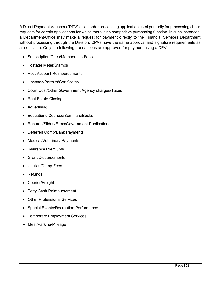A Direct Payment Voucher ("DPV") is an order processing application used primarily for processing check requests for certain applications for which there is no competitive purchasing function. In such instances, a Department/Office may make a request for payment directly to the Financial Services Department without processing through the Division. DPVs have the same approval and signature requirements as a requisition. Only the following transactions are approved for payment using a DPV:

- Subscription/Dues/Membership Fees
- Postage Meter/Stamps
- Host Account Reimbursements
- Licenses/Permits/Certificates
- Court Cost/Other Government Agency charges/Taxes
- Real Estate Closing
- Advertising
- Educations Courses/Seminars/Books
- Records/Slides/Films/Government Publications
- Deferred Comp/Bank Payments
- Medical/Veterinary Payments
- Insurance Premiums
- Grant Disbursements
- Utilities/Dump Fees
- Refunds
- Courier/Freight
- Petty Cash Reimbursement
- Other Professional Services
- Special Events/Recreation Performance
- Temporary Employment Services
- Meal/Parking/Mileage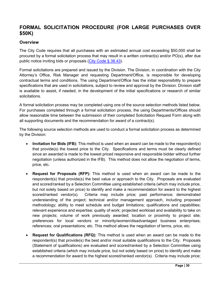## <span id="page-29-0"></span>**FORMAL SOLICITATION PROCEDURE (FOR LARGE PURCHASES OVER \$50K)**

#### <span id="page-29-1"></span>**Overview**

The City Code requires that all purchases with an estimated annual cost exceeding \$50,000 shall be procured by a formal solicitation process that may result in a written contract(s) and/or PO(s), after due public notice inviting bids or proposals (City Code [§ 38.43\)](https://codelibrary.amlegal.com/codes/hollywood/latest/hollywood_fl/0-0-0-36326).

Formal solicitations are prepared and issued by the Division. The Division, in coordination with the City Attorney's Office, Risk Manager and requesting Department/Office, is responsible for developing contractual terms and conditions. The using Department/Office has the initial responsibility to prepare specifications that are used in solicitations, subject to review and approval by the Division. Division staff is available to assist, if needed, in the development of the initial specifications or research of similar solicitations.

A formal solicitation process may be completed using one of the source selection methods listed below. For purchases completed through a formal solicitation process, the using Departments/Offices should allow reasonable time between the submission of their completed Solicitation Request Form along with all supporting documents and the recommendation for award of a contract(s).

The following source selection methods are used to conduct a formal solicitation process as determined by the Division:

- **Invitation for Bids (IFB):** This method is used when an award can be made to the respondent(s) that provide(s) the lowest price to the City. Specifications and terms must be clearly defined since an awarded is made to the lowest priced responsive and responsible bidder without further negotiation (unless authorized in the IFB). This method does not allow the negotiation of terms, price, etc.
- **Request for Proposals (RFP):** This method is used when an award can be made to the respondent(s) that provide(s) the best value or approach to the City. Proposals are evaluated and scored/ranked by a Selection Committee using established criteria (which may include price, but not solely based on price) to identify and make a recommendation for award to the highest scored/ranked vendor(s). Criteria may include price; past performance; demonstrated understanding of the project; technical and/or management approach, including proposed methodology; ability to meet schedule and budget limitations; qualifications and capabilities; relevant experience and expertise; quality of work; projected workload and availability to take on new projects; volume of work previously awarded; location or proximity to project site; preferences for local vendors or minority/women/disadvantaged business enterprises; references; oral presentations; etc. This method allows the negotiation of terms, price, etc.
- **Request for Qualifications (RFQ):** This method is used when an award can be made to the respondent(s) that provide(s) the best and/or most suitable qualifications to the City. Proposals (Statement of qualifications) are evaluated and scored/ranked by a Selection Committee using established criteria (which may include price, but not solely based on price) to identify and make a recommendation for award to the highest scored/ranked vendor(s). Criteria may include price;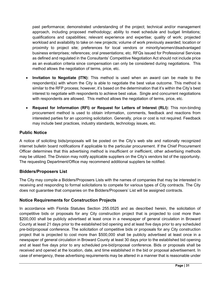past performance; demonstrated understanding of the project; technical and/or management approach, including proposed methodology; ability to meet schedule and budget limitations; qualifications and capabilities; relevant experience and expertise; quality of work; projected workload and availability to take on new projects; volume of work previously awarded; location or proximity to project site; preferences for local vendors or minority/women/disadvantaged business enterprises; references; oral presentations; etc. RFQs issued for Professional Services as defined and regulated in the Consultants' Competitive Negotiation Act should not include price as an evaluation criteria since compensation can only be considered during negotiations. This method allows the negotiation of terms, price, etc.

- **Invitation to Negotiate (ITN):** This method is used when an award can be made to the respondent(s) with whom the City is able to negotiate the best value outcome. This method is similar to the RFP process; however, it's based on the determination that it's within the City's best interest to negotiate with respondents to achieve best value. Single and concurrent negotiations with respondents are allowed. This method allows the negotiation of terms, price, etc.
- **Request for Information (RFI) or Request for Letters of Interest (RLI):** This non-binding procurement method is used to obtain information, comments, feedback and reactions from interested parties for an upcoming solicitation. Generally, price or cost is not required. Feedback may include best practices, industry standards, technology issues, etc.

#### <span id="page-30-0"></span>**Public Notice**

A notice of soliciting bids/proposals will be posted on the City's web site and nationally recognized internet bulletin board notifications if applicable to the particular procurement. If the Chief Procurement Officer determines that this advertising method is insufficient or inefficient, other advertising methods may be utilized. The Division may notify applicable suppliers on the City's vendors list of the opportunity. The requesting Department/Office may recommend additional suppliers be notified.

#### **Bidders/Proposers List**

The City may compile a Bidders/Proposers Lists with the names of companies that may be interested in receiving and responding to formal solicitations to compete for various types of City contracts. The City does not guarantee that companies on the Bidders/Proposers' List will be assigned contracts.

## <span id="page-30-1"></span>**Notice Requirements for Construction Projects**

In accordance with Florida Statutes Section 255.0525 and as described herein, the solicitation of competitive bids or proposals for any City construction project that is projected to cost more than \$200,000 shall be publicly advertised at least once in a newspaper of general circulation in Broward County at least 21 days prior to the established bid opening and at least five days prior to any scheduled pre-bid/proposal conference. The solicitation of competitive bids or proposals for any City construction project that is projected to cost more than \$500,000 shall be publicly advertised at least once in a newspaper of general circulation in Broward County at least 30 days prior to the established bid opening and at least five days prior to any scheduled pre-bid/proposal conference. Bids or proposals shall be received and opened at the location, date, and time established in the bid or proposal advertisement. In case of emergency, these advertising requirements may be altered in a manner that is reasonable under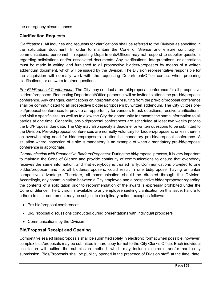the emergency circumstances.

#### <span id="page-31-0"></span>**Clarification Requests**

*Clarifications:* All inquiries and requests for clarifications shall be referred to the Division as specified in the solicitation document. In order to maintain the Cone of Silence and ensure continuity in communications, personnel in requesting Departments/Offices may not respond to supplier questions regarding solicitations and/or associated documents. Any clarifications, interpretations, or alterations must be made in writing and furnished to all prospective bidders/proposers by means of a written addendum document, which will be issued by the Division. The Division representative responsible for the acquisition will normally work with the requesting Department/Office contact when preparing clarifications, or answers to other questions.

*Pre-Bid/Proposal Conferences:* The City may conduct a pre-bid/proposal conference for all prospective bidders/proposers. Requesting Department/Office personnel will be invited to attend the pre-bid/proposal conference. Any changes, clarifications or interpretations resulting from the pre-bid/proposal conference shall be communicated to all prospective bidders/proposers by written addendum. The City utilizes prebid/proposal conferences to provide an opportunity for vendors to ask questions, receive clarifications, and visit a specific site; as well as to allow the City the opportunity to transmit the same information to all parties at one time. Generally, pre-bid/proposal conferences are scheduled at least two weeks prior to the Bid/Proposal due date. The City may also specify a deadline for written questions to be submitted to the Division. Pre-bid/proposal conferences are normally voluntary for bidders/proposers, unless there is an overwhelming need for bidders/proposers to attend a mandatory pre-bid/proposal conference. A situation where inspection of a site is mandatory is an example of when a mandatory pre-bid/proposal conference is appropriate.

*Communication with Prospective Bidders/Proposers:* During the bid/proposal process, it is very important to maintain the Cone of Silence and provide continuity of communications to ensure that everybody receives the same information, and that everybody is treated fairly. Communications provided to one bidder/proposer, and not all bidders/proposers, could result in one bid/proposer having an unfair competitive advantage. Therefore, all communication should be directed through the Division. Accordingly, any communication between a City employee and a prospective bidder/proposer regarding the contents of a solicitation prior to recommendation of the award is expressly prohibited under the Cone of Silence. The Division is available to any employee seeking clarification on this issue. Failure to adhere to this requirement may be subject to disciplinary action, except as follows:

- Pre-bid/proposal conferences
- Bid/Proposal discussions conducted during presentations with individual proposers
- Communications by the Division

#### <span id="page-31-1"></span>**Bid/Proposal Receipt and Opening**

Competitive sealed bids/proposals shall be submitted solely in electronic format when possible, however, complex bids/proposals may be submitted in hard copy format to the City Clerk's Office. Each individual solicitation will outline the submission method, which may include electronic and/or hard copy submission. Bids/Proposals shall be publicly opened in the presence of Division staff, at the time, date,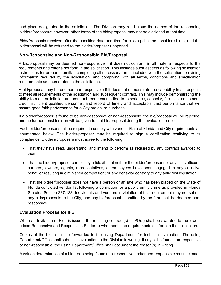and place designated in the solicitation. The Division may read aloud the names of the responding bidders/proposers; however, other terms of the bids/proposal may not be disclosed at that time.

Bids/Proposals received after the specified date and time for closing shall be considered late, and the bid/proposal will be returned to the bidder/proposer unopened.

#### **Non-Responsive and Non-Responsible Bid/Proposal**

A bid/proposal may be deemed non-responsive if it does not conform in all material respects to the requirements and criteria set forth in the solicitation. This includes such aspects as following solicitation instructions for proper submittal, completing all necessary forms included with the solicitation, providing information required by the solicitation, and complying with all terms, conditions and specification requirements as enumerated in the solicitation.

A bid/proposal may be deemed non-responsible if it does not demonstrate the capability in all respects to meet all requirements of the solicitation and subsequent contract. This may include demonstrating the ability to meet solicitation and contract requirements tied to experience, capacity, facilities, equipment, credit, sufficient qualified personnel, and record of timely and acceptable past performance that will assure good faith performance for a City project or purchase.

If a bidder/proposer is found to be non-responsive or non-responsible, the bid/proposal will be rejected, and no further consideration will be given to that bid/proposal during the evaluation process.

Each bidder/proposer shall be required to comply with various State of Florida and City requirements as enumerated below. The bidder/proposer may be required to sign a certification testifying to its compliance. Bidders/proposers must agree to the following:

- That they have read, understand, and intend to perform as required by any contract awarded to them.
- That the bidder/proposer certifies by affidavit, that neither the bidder/proposer nor any of its officers, partners, owners, agents, representatives, or employees have been engaged in any collusive behavior resulting in diminished competition; or any behavior contrary to any anti-trust legislation.
- That the bidder/proposer does not have a person or affiliate who has been placed on the State of Florida convicted vendor list following a conviction for a public entity crime as provided in Florida Statutes Section 287.133. Individuals and vendors in violation of this requirement may not submit any bids/proposals to the City, and any bid/proposal submitted by the firm shall be deemed nonresponsive.

#### **Evaluation Process for IFB**

When an Invitation of Bids is issued, the resulting contract(s) or PO(s) shall be awarded to the lowest priced Responsive and Responsible Bidder(s) who meets the requirements set forth in the solicitation.

Copies of the bids shall be forwarded to the using Department for technical evaluation. The using Department/Office shall submit its evaluation to the Division in writing. If any bid is found non-responsive or non-responsible, the using Department/Office shall document the reason(s) in writing.

A written determination of a bidder(s) being found non-responsive and/or non-responsible must be made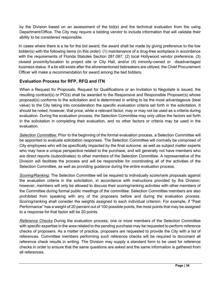by the Division based on an assessment of the bid(s) and the technical evaluation from the using Department/Office. The City may require a bidding vendor to include information that will validate their ability to be considered responsible.

In cases where there is a tie for the bid award, the award shall be made by giving preference to the low bidder(s) with the following items (in this order): (1) maintenance of a drug-free workplace in accordance with the requirements of Florida Statutes Section 287.087, (2) local Hollywood vendor preference, (3) closest proximity/location to project site or City Hall, and/or (4) minority-owned or disadvantaged business status. If a tie still exists after the aforementioned tiebreakers are utilized, the Chief Procurement Officer will make a recommendation for award among the tied bidders.

## **Evaluation Process for RFP, RFQ and ITN**

When a Request for Proposals, Request for Qualifications or an Invitation to Negotiate is issued, the resulting contract(s) or PO(s) shall be awarded to the Responsive and Responsible Proposer(s) whose proposal(s) conforms to the solicitation and is determined in writing to be the most advantageous (best value) to the City taking into consideration the specific evaluation criteria set forth in the solicitation. It should be noted, however, that price, while a relevant factor, may or may not be used as a criteria during evaluation. During the evaluation process, the Selection Committee may only utilize the factors set forth in the solicitation in completing their evaluation, and no other factors or criteria may be used in the evaluation.

*Selection Committee:* Prior to the beginning of the formal evaluation process, a Selection Committee will be appointed to evaluate solicitation responses. The Selection Committee will normally be comprised of City employees who will be specifically impacted by the final outcome, as well as subject matter experts who may have a unique perspective related to the purchase, and will generally not have members who are direct reports (subordinates) to other members of the Selection Committee. A representative of the Division will facilitate the process and will be responsible for coordinating all of the activities of the Selection Committee, as well as providing guidance during the entire evaluation process.

*Scoring/Ranking:* The Selection Committee will be required to individually score/rank proposals against the evaluation criteria in the solicitation, in accordance with instructions provided by the Division; however, members will only be allowed to discuss their scoring/ranking activities with other members of the Committee during formal public meetings of the committee. Selection Committee members are also prohibited from speaking with any of the proposers before and during the evaluation process. Scoring/ranking shall consider the weights assigned to each individual criterion. For example, if "Past Performance" has a weight of 20 percent out of 100 possible points, the most points that may be assigned to a response for that factor will be 20 points.

*Reference Checks* During the evaluation process, one or more members of the Selection Committee with specific expertise in the area related to the pending purchase may be requested to perform reference checks of proposers. As a matter of practice, proposers are requested to provide the City with a list of references. Committee members performing such reference checks will be required to document all reference check results in writing. The Division may supply a standard form to be used for reference checks in order to ensure that the same questions are asked and the same information is gathered from all references.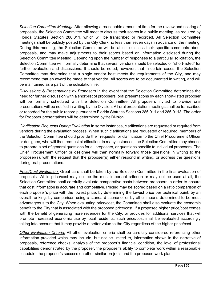*Selection Committee Meetings* After allowing a reasonable amount of time for the review and scoring of proposals, the Selection Committee will meet to discuss their scores in a public meeting, as required by Florida Statutes Section 286.011, which will be transcribed or recorded. All Selection Committee meetings shall be publicly posted by the City Clerk no less than seven days in advance of the meeting. During this meeting, the Selection Committee will be able to discuss their specific comments about proposals, and may make adjustments to their scores based on information disclosed during the Selection Committee Meeting. Depending upon the number of responses to a particular solicitation, the Selection Committee will normally determine that several vendors should be selected or "short-listed" for further evaluation and discussions. It should be noted, however, that in certain cases, the Selection Committee may determine that a single vendor best meets the requirements of the City, and may recommend that an award be made to that vendor. All scores are to be documented in writing, and will be maintained as a part of the solicitation file.

*Discussions & Presentations by Proposers* In the event that the Selection Committee determines the need for further discussion with a short-list of proposers, oral presentations by each short-listed proposer will be formally scheduled with the Selection Committee. All proposers invited to provide oral presentations will be notified in writing by the Division. All oral presentation meetings shall be transcribed or recorded for the public record pursuant to Florida Statutes Sections 286.011 and 286.0113. The order for Proposer presentations will be determined by the Division.

*Clarification Requests During Evaluation* In some instances, clarifications are requested or required from vendors during the evaluation process. When such clarifications are requested or required, members of the Selection Committee should provide their requests for clarification to the Chief Procurement Officer or designee, who will then request clarification. In many instances, the Selection Committee may choose to prepare a set of general questions for all proposers, or questions specific to individual proposers. The Chief Procurement Officer or designee will then normally forward those questions in writing to the proposer(s), with the request that the proposer(s) either respond in writing, or address the questions during oral presentations.

<span id="page-34-0"></span>*Price/Cost Evaluation:* Great care shall be taken by the Selection Committee in the final evaluation of proposals. While price/cost may not be the most important criterion or may not be used at all, the Selection Committee shall carefully evaluate comparative costs between proposers in order to ensure that cost information is accurate and competitive. Pricing may be scored based on a ratio comparison of each proposer's price with the lowest price, by determining the lowest price per technical point, by an overall ranking, by comparison using a standard scenario, or by other means determined to be most advantageous to the City. When evaluating price/cost, the Committee shall also evaluate the economic benefit to the City that is associated with the proposed price/cost. If a proposed higher price/cost comes with the benefit of generating more revenues for the City, or provides for additional services that will promote increased economic use by local residents, such price/cost shall be evaluated accordingly taking into account that it may provide a better value to the City regardless of the higher price/cost.

*Other Evaluation Criteria:* All other evaluation criteria shall be carefully considered referencing other information provided which may include, but not be limited to, information shown in the narrative of proposals, reference checks, analysis of the proposer's financial condition, the level of professional capabilities demonstrated by the proposer, the proposer's ability to complete work within a reasonable schedule, the proposer's success on other similar projects and the proposed work plan.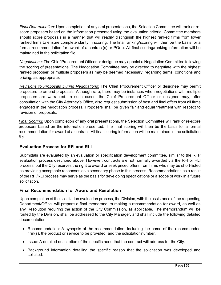*Final Determination:* Upon completion of any oral presentations, the Selection Committee will rank or rescore proposers based on the information presented using the evaluation criteria. Committee members should score proposals in a manner that will readily distinguish the highest ranked firms from lower ranked firms to ensure complete clarity in scoring. The final ranking/scoring will then be the basis for a formal recommendation for award of a contract(s) or PO(s). All final scoring/ranking information will be maintained in the solicitation file.

*Negotiations:* The Chief Procurement Officer or designee may appoint a Negotiation Committee following the scoring of presentations. The Negotiation Committee may be directed to negotiate with the highest ranked proposer, or multiple proposers as may be deemed necessary, regarding terms, conditions and pricing, as appropriate.

*Revisions to Proposals During Negotiations:* The Chief Procurement Officer or designee may permit proposers to amend proposals. Although rare, there may be instances when negotiations with multiple proposers are warranted. In such cases, the Chief Procurement Officer or designee may, after consultation with the City Attorney's Office, also request submission of best and final offers from all firms engaged in the negotiation process. Proposers shall be given fair and equal treatment with respect to revision of proposals.

*Final Scoring:* Upon completion of any oral presentations, the Selection Committee will rank or re-score proposers based on the information presented. The final scoring will then be the basis for a formal recommendation for award of a contract. All final scoring information will be maintained in the solicitation file.

## **Evaluation Process for RFI and RLI**

Submittals are evaluated by an evaluation or specification development committee, similar to the RFP evaluation process described above. However, contracts are not normally awarded via the RFI or RLI process, but the City reserves the right to award or seek priced offers from firms who may be short-listed as providing acceptable responses as a secondary phase to this process. Recommendations as a result of the RFI/RLI process may serve as the basis for developing specifications or a scope of work in a future solicitation.

#### **Final Recommendation for Award and Resolution**

Upon completion of the solicitation evaluation process, the Division, with the assistance of the requesting Department/Office, will prepare a final memorandum making a recommendation for award, as well as any Resolution requiring the action of the City Commission, as applicable. The memorandum will be routed by the Division, shall be addressed to the City Manager, and shall include the following detailed documentation:

- Recommendation: A synopsis of the recommendation, including the name of the recommended firm(s), the product or service to be provided, and the solicitation number.
- Issue: A detailed description of the specific need that the contract will address for the City.
- Background information detailing the specific reason that the solicitation was developed and solicited.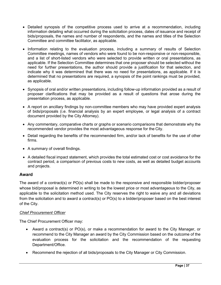- Detailed synopsis of the competitive process used to arrive at a recommendation, including information detailing what occurred during the solicitation process, dates of issuance and receipt of bids/proposals, the names and number of respondents, and the names and titles of the Selection Committee and committee facilitator, as applicable.
- Information relating to the evaluation process, including a summary of results of Selection Committee meetings, names of vendors who were found to be non-responsive or non-responsible, and a list of short-listed vendors who were selected to provide written or oral presentations, as applicable. If the Selection Committee determines that one proposer should be selected without the need for further presentations, the author should provide a justification for that selection, and indicate why it was determined that there was no need for presentations, as applicable. If it is determined that no presentations are required, a synopsis of the point rankings must be provided, as applicable.
- Synopsis of oral and/or written presentations, including follow-up information provided as a result of proposer clarifications that may be provided as a result of questions that arose during the presentation process, as applicable.
- A report on ancillary findings by non-committee members who may have provided expert analysis of bids/proposals (i.e. financial analysis by an expert employee, or legal analysis of a contract document provided by the City Attorney).
- Any commentary, comparative charts or graphs or scenario comparisons that demonstrate why the recommended vendor provides the most advantageous response for the City.
- Detail regarding the benefits of the recommended firm, and/or lack of benefits for the use of other firms.
- A summary of overall findings.
- A detailed fiscal impact statement, which provides the total estimated cost or cost avoidance for the contract period, a comparison of previous costs to new costs, as well as detailed budget accounts and projects.

#### <span id="page-36-0"></span>**Award**

The award of a contract(s) or PO(s) shall be made to the responsive and responsible bidder/proposer whose bid/proposal is determined in writing to be the lowest price or most advantageous to the City, as applicable to the solicitation method used. The City reserves the right to waive any and all deviations from the solicitation and to award a contract(s) or PO(s) to a bidder/proposer based on the best interest of the City.

#### *Chief Procurement Officer*

The Chief Procurement Officer may:

- Award a contract(s) or PO(s), or make a recommendation for award to the City Manager, or recommend to the City Manager an award by the City Commission based on the outcome of the evaluation process for the solicitation and the recommendation of the requesting Department/Office.
- Recommend the rejection of all bids/proposals to the City Manager or City Commission.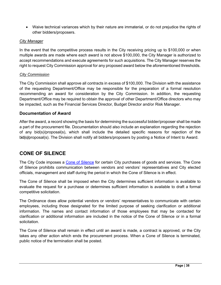• Waive technical variances which by their nature are immaterial, or do not prejudice the rights of other bidders/proposers.

#### *City Manager*

In the event that the competitive process results in the City receiving pricing up to \$100,000 or when multiple awards are made where each award is not above \$100,000, the City Manager is authorized to accept recommendations and execute agreements for such acquisitions. The City Manager reserves the right to request City Commission approval for any proposed award below the aforementioned thresholds.

#### *City Commission*

The City Commission shall approve all contracts in excess of \$100,000. The Division with the assistance of the requesting Department/Office may be responsible for the preparation of a formal resolution recommending an award for consideration by the City Commission. In addition, the requesting Department/Office may be required to obtain the approval of other Department/Office directors who may be impacted, such as the Financial Services Director, Budget Director and/or Risk Manager.

#### <span id="page-37-0"></span>**Documentation of Award**

After the award, a record showing the basis for determining the successful bidder/proposer shall be made a part of the procurement file. Documentation should also include an explanation regarding the rejection of any bid(s)/proposal(s), which shall include the detailed specific reasons for rejection of the bid(s)/proposal(s). The Division shall notify all bidders/proposers by posting a Notice of Intent to Award.

## <span id="page-37-1"></span>**CONE OF SILENCE**

The City Code imposes a [Cone of Silence](https://codelibrary.amlegal.com/codes/hollywood/latest/hollywood_fl/0-0-0-34912) for certain City purchases of goods and services. The Cone of Silence prohibits communication between vendors and vendors' representatives and City elected officials, management and staff during the period in which the Cone of Silence is in effect.

The Cone of Silence shall be imposed when the City determines sufficient information is available to evaluate the request for a purchase or determines sufficient information is available to draft a formal competitive solicitation.

The Ordinance does allow potential vendors or vendors' representatives to communicate with certain employees, including those designated for the limited purpose of seeking clarification or additional information. The names and contact information of those employees that may be contacted for clarification or additional information are included in the notice of the Cone of Silence or in a formal solicitation.

The Cone of Silence shall remain in effect until an award is made, a contract is approved, or the City takes any other action which ends the procurement process. When a Cone of Silence is terminated, public notice of the termination shall be posted.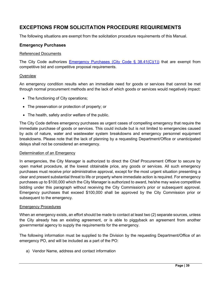## **EXCEPTIONS FROM SOLICITATION PROCEDURE REQUIREMENTS**

<span id="page-38-0"></span>The following situations are exempt from the solicitation procedure requirements of this Manual.

#### **Emergency Purchases**

#### Referenced Documents

The City Code authorizes [Emergency Purchases](https://codelibrary.amlegal.com/codes/hollywood/latest/hollywood_fl/0-0-0-48481) (City Code  $\S$  38.41(C)(1)) that are exempt from competitive bid and competitive proposal requirements.

#### **Overview**

An emergency condition results when an immediate need for goods or services that cannot be met through normal procurement methods and the lack of which goods or services would negatively impact:

- The functioning of City operations;
- The preservation or protection of property; or
- The health, safety and/or welfare of the public.

The City Code defines emergency purchases as urgent cases of compelling emergency that require the immediate purchase of goods or services. This could include but is not limited to emergencies caused by acts of nature, water and wastewater system breakdowns and emergency personnel equipment breakdowns. Please note that the lack of planning by a requesting Department/Office or unanticipated delays shall not be considered an emergency.

#### Determination of an Emergency

In emergencies, the City Manager is authorized to direct the Chief Procurement Officer to secure by open market procedure, at the lowest obtainable price, any goods or services. All such emergency purchases must receive prior administrative approval, except for the most urgent situation presenting a clear and present substantial threat to life or property where immediate action is required. For emergency purchases up to \$100,000 which the City Manager is authorized to award, he/she may waive competitive bidding under this paragraph without receiving the City Commission's prior or subsequent approval. Emergency purchases that exceed \$100,000 shall be approved by the City Commission prior or subsequent to the emergency.

#### Emergency Procedures

When an emergency exists, an effort should be made to contact at least two (2) separate sources, unless the City already has an existing agreement, or is able to piggyback an agreement from another governmental agency to supply the requirements for the emergency.

The following information must be supplied to the Division by the requesting Department/Office of an emergency PO, and will be included as a part of the PO:

a) Vendor Name, address and contact information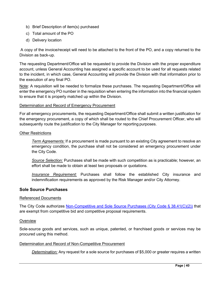- b) Brief Description of item(s) purchased
- c) Total amount of the PO
- d) Delivery location

A copy of the invoice/receipt will need to be attached to the front of the PO, and a copy returned to the Division as back-up.

The requesting Department/Office will be requested to provide the Division with the proper expenditure account, unless General Accounting has assigned a specific account to be used for all requests related to the incident, in which case, General Accounting will provide the Division with that information prior to the execution of any final PO.

Note: A requisition will be needed to formalize these purchases. The requesting Department/Office will enter the emergency PO number in the requisition when entering the information into the financial system to ensure that it is properly matched up within the Division.

#### Determination and Record of Emergency Procurement

For all emergency procurements, the requesting Department/Office shall submit a written justification for the emergency procurement, a copy of which shall be routed to the Chief Procurement Officer, who will subsequently route the justification to the City Manager for reporting purposes.

#### Other Restrictions

*Term Agreements:* If a procurement is made pursuant to an existing City agreement to resolve an emergency condition, the purchase shall not be considered an emergency procurement under the City Code.

*Source Selection:* Purchases shall be made with such competition as is practicable; however, an effort shall be made to obtain at least two proposals or quotations.

*Insurance Requirement:* Purchases shall follow the established City insurance and indemnification requirements as approved by the Risk Manager and/or City Attorney.

#### **Sole Source Purchases**

#### Referenced Documents

The City Code authorizes [Non-Competitive and Sole Source Purchases](https://codelibrary.amlegal.com/codes/hollywood/latest/hollywood_fl/0-0-0-48481) (City Code § 38.41(C)(2)) that are exempt from competitive bid and competitive proposal requirements.

#### **Overview**

Sole-source goods and services, such as unique, patented, or franchised goods or services may be procured using this method.

#### Determination and Record of Non-Competitive Procurement

*Determination:* Any request for a sole source for purchases of \$5,000 or greater requires a written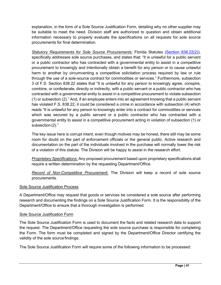explanation, in the form of a Sole Source Justification Form, detailing why no other supplier may be suitable to meet the need. Division staff are authorized to question and obtain additional information necessary to properly evaluate the specifications on all requests for sole source procurements for final determination.

*Statutory Requirements for Sole Source Procurements:* Florida Statutes [\(Section 838.22\(2\)\)](http://www.leg.state.fl.us/statutes/index.cfm?App_mode=Display_Statute&Search_String=&URL=0800-0899/0838/Sections/0838.22.html), specifically addresses sole source purchases, and states that: "It is unlawful for a public servant or a public contractor who has contracted with a governmental entity to assist in a competitive procurement to knowingly and intentionally obtain a benefit for any person or to cause unlawful harm to another by circumventing a competitive solicitation process required by law or rule through the use of a sole-source contract for commodities or services." Furthermore, subsection 3 of F.S. Section 838.22 states that "It is unlawful for any person to knowingly agree, conspire, combine, or confederate, directly or indirectly, with a public servant or a public contractor who has contracted with a governmental entity to assist in a competitive procurement to violate subsection (1) or subsection (2)." And, if an employee enters into an agreement knowing that a public servant has violated F.S. 838.22, it could be considered a crime in accordance with subsection (4) which reads "It is unlawful for any person to knowingly enter into a contract for commodities or services which was secured by a public servant or a public contractor who has contracted with a governmental entity to assist in a competitive procurement acting in violation of subsection (1) or subsection(2)."

The key issue here is corrupt intent; even though motives may be honest, there still may be some room for doubt on the part of enforcement officials or the general public. Active research and documentation on the part of the individuals involved in the purchase will normally lower the risk of a violation of this statute. The Division will be happy to assist in the research effort.

*Proprietary Specifications:* Any proposed procurement based upon proprietary specifications shall require a written determination by the requesting Department/Office.

*Record of Non-Competitive Procurement:* The Division will keep a record of sole source procurements.

#### Sole Source Justification Process

A Department/Office may request that goods or services be considered a sole source after performing research and documenting the findings on a Sole Source Justification Form. It is the responsibility of the Department/Office to ensure that a thorough investigation is performed.

#### Sole Source Justification Form

The Sole Source Justification Form is used to document the facts and related research data to support the request. The Department/Office requesting the sole source purchase is responsible for completing the Form. The form must be completed and signed by the Department/Office Director certifying the validity of the sole source findings.

The Sole Source Justification Form will require some of the following information to be processed: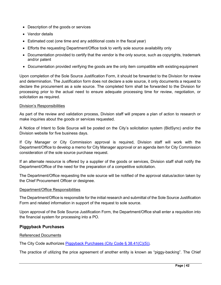- Description of the goods or services
- Vendor details
- Estimated cost (one time and any additional costs in the fiscal year)
- Efforts the requesting Department/Office took to verify sole source availability only
- Documentation provided to certify that the vendor is the only source, such as copyrights, trademark and/or patent
- Documentation provided verifying the goods are the only item compatible with existing equipment

Upon completion of the Sole Source Justification Form, it should be forwarded to the Division for review and determination. The Justification form does not declare a sole source, it only documents a request to declare the procurement as a sole source. The completed form shall be forwarded to the Division for processing prior to the actual need to ensure adequate processing time for review, negotiation, or solicitation as required.

#### Division's Responsibilities

As part of the review and validation process, Division staff will prepare a plan of action to research or make inquiries about the goods or services requested.

A Notice of Intent to Sole Source will be posted on the City's solicitation system (BidSync) and/or the Division website for five business days.

If City Manager or City Commission approval is required, Division staff will work with the Department/Office to develop a memo for City Manager approval or an agenda item for City Commission consideration of the sole source purchase request.

If an alternate resource is offered by a supplier of the goods or services, Division staff shall notify the Department/Office of the need for the preparation of a competitive solicitation.

The Department/Office requesting the sole source will be notified of the approval status/action taken by the Chief Procurement Officer or designee.

#### Department/Office Responsibilities

The Department/Office is responsible for the initial research and submittal of the Sole Source Justification Form and related information in support of the request to sole source.

Upon approval of the Sole Source Justification Form, the Department/Office shall enter a requisition into the financial system for processing into a PO.

#### **Piggyback Purchases**

#### Referenced Documents

The City Code authorizes [Piggyback Purchases](https://codelibrary.amlegal.com/codes/hollywood/latest/hollywood_fl/0-0-0-48481) (City Code § 38.41(C)(5)).

The practice of utilizing the price agreement of another entity is known as "piggy-backing". The Chief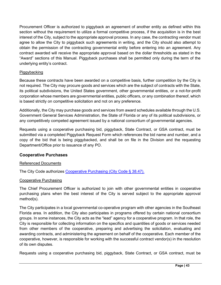Procurement Officer is authorized to piggyback an agreement of another entity as defined within this section without the requirement to utilize a formal competitive process, if the acquisition is in the best interest of the City, subject to the appropriate approval process. In any case, the contracting vendor must agree to allow the City to piggyback such agreements in writing, and the City should also attempt to obtain the permission of the contracting governmental entity before entering into an agreement. Any contract awarded will receive the appropriate approval based on the dollar thresholds as stated in the "Award" sections of this Manual. Piggyback purchases shall be permitted only during the term of the underlying entity's contract.

#### Piggybacking

Because these contracts have been awarded on a competitive basis, further competition by the City is not required. The City may procure goods and services which are the subject of contracts with the State, its political subdivisions, the United States government, other governmental entities, or a not-for-profit corporation whose members are governmental entities, public officers, or any combination thereof, which is based strictly on competitive solicitation and not on any preference.

Additionally, the City may purchase goods and services from award schedules available through the U.S. Government General Services Administration, the State of Florida or any of its political subdivisions, or any competitively competed agreement issued by a national consortium of governmental agencies.

Requests using a cooperative purchasing bid, piggyback, State Contract, or GSA contract, must be submitted via a completed Piggyback Request Form which references the bid name and number, and a copy of the bid that is being piggybacked, and shall be on file in the Division and the requesting Department/Office prior to issuance of any PO.

#### <span id="page-42-0"></span>**Cooperative Purchases**

#### Referenced Documents

The City Code authorizes [Cooperative Purchasing \(City](https://codelibrary.amlegal.com/codes/hollywood/latest/hollywood_fl/0-0-0-48628) Code § 38.47).

#### Cooperative Purchasing

The Chief Procurement Officer is authorized to join with other governmental entities in cooperative purchasing plans when the best interest of the City is served subject to the appropriate approval method(s).

The City participates in a local governmental co-operative program with other agencies in the Southeast Florida area. In addition, the City also participates in programs offered by certain national consortium groups. In some instances, the City acts as the "lead" agency for a cooperative program. In that role, the City is responsible for collecting information on the specifics and quantities of goods or services needed from other members of the cooperative, preparing and advertising the solicitation, evaluating and awarding contracts, and administering the agreement on behalf of the cooperative. Each member of the cooperative, however, is responsible for working with the successful contract vendor(s) in the resolution of its own disputes.

Requests using a cooperative purchasing bid, piggyback, State Contract, or GSA contract, must be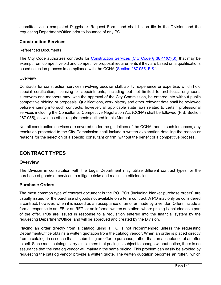submitted via a completed Piggyback Request Form, and shall be on file in the Division and the requesting Department/Office prior to issuance of any PO.

#### <span id="page-43-0"></span>**Construction Services**

#### Referenced Documents

The City Code authorizes contracts for Construction Services (City Code [§ 38.41\(C\)\(6\)\)](https://codelibrary.amlegal.com/codes/hollywood/latest/hollywood_fl/0-0-0-48481) that may be exempt from competitive bid and competitive proposal requirements if they are based on a qualifications based selection process in compliance with the CCNA [\(Section 287.055, F.S.\)](http://www.leg.state.fl.us/Statutes/index.cfm?App_mode=Display_Statute&URL=0200-0299/0287/Sections/0287.055.html).

#### **Overview**

Contracts for construction services involving peculiar skill, ability, experience or expertise, which hold special certification, licensing or appointments, including but not limited to architects, engineers, surveyors and mappers may, with the approval of the City Commission, be entered into without public competitive bidding or proposals. Qualifications, work history and other relevant data shall be reviewed before entering into such contracts, however, all applicable state laws related to certain professional services including the Consultants' Competitive Negotiation Act (CCNA) shall be followed (F.S. Section 287.055), as well as other requirements outlined in this Manual.

Not all construction services are covered under the guidelines of the CCNA, and in such instances, any resolution presented to the City Commission shall include a written explanation detailing the reason or reasons for the selection of a specific consultant or firm, without the benefit of a competitive process.

## <span id="page-43-1"></span>**CONTRACT TYPES**

#### <span id="page-43-2"></span>**Overview**

The Division in consultation with the Legal Department may utilize different contract types for the purchase of goods or services to mitigate risks and maximize efficiencies.

#### <span id="page-43-3"></span>**Purchase Orders**

The most common type of contract document is the PO. POs (including blanket purchase orders) are usually issued for the purchase of goods not available on a term contract. A PO may only be considered a contract, however, when it is issued as an acceptance of an offer made by a vendor. Offers include a formal response to an IFB or an RFP, or an informal written quotation, where pricing is included as a part of the offer. POs are issued in response to a requisition entered into the financial system by the requesting Department/Office, and will be approved and created by the Division.

Placing an order directly from a catalog using a PO is not recommended unless the requesting Department/Office obtains a written quotation from the catalog vendor. When an order is placed directly from a catalog, in essence that is submitting an offer to purchase, rather than an acceptance of an offer to sell. Since most catalogs carry disclaimers that pricing is subject to change without notice, there is no assurance that the catalog vendor will maintain the same pricing. This problem can easily be avoided by requesting the catalog vendor provide a written quote. The written quotation becomes an "offer," which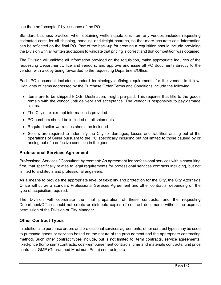can then be "accepted" by issuance of the PO.

Standard business practice, when obtaining written quotations from any vendor, includes requesting estimated costs for all shipping, handling and freight charges, so that more accurate cost information can be reflected on the final PO. Part of the back-up for creating a requisition should include providing the Division with all written quotations to validate that pricing is correct and that competition was obtained.

The Division will validate all information provided on the requisition, make appropriate inquiries of the requesting Department/Office and vendors, and approve and issue all PO documents directly to the vendor, with a copy being forwarded to the requesting Department/Office.

Each PO document includes standard terminology defining requirements for the vendor to follow. Highlights of items addressed by the Purchase Order Terms and Conditions include the following:

- Items are to be shipped F.O.B. Destination, freight pre-paid. This requires that title to the goods remain with the vendor until delivery and acceptance. The vendor is responsible to pay damage claims.
- The City's tax-exempt information is provided.
- PO numbers should be included on all shipments.
- Required seller warranties should be included.
- Sellers are required to indemnify the City for damages, losses and liabilities arising out of the operations of Seller pursuant to the PO specifically including but not limited to those caused by or arising out of a defective condition in the goods.

#### <span id="page-44-0"></span>**Professional Services Agreement**

Professional Services / Consultant Agreement: An agreement for professional services with a consulting firm, that specifically relates to legal requirements for professional services contracts including, but not limited to architects and professional engineers.

As a means to provide the appropriate level of flexibility and protection for the City, the City Attorney's Office will utilize a standard Professional Services Agreement and other contracts, depending on the type of acquisition required.

The Division will coordinate the final preparation of these contracts, and the requesting Department/Office should not create or distribute copies of contract documents without the express permission of the Division or City Manager.

#### **Other Contract Types**

In additional to purchase orders and professional services agreements, other contract types may be used to purchase goods or services based on the nature of the procurement and the appropriate contracting method. Such other contract types include, but is not limited to, term contracts, service agreements, fixed-price (lump sum) contracts, cost-reimbursement contracts, time and materials contracts, unit price contracts, GMP (Guaranteed Maximum Price) contracts, etc.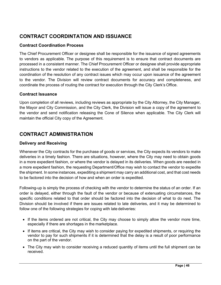## <span id="page-45-0"></span>**CONTRACT COORDINTATION AND ISSUANCE**

#### <span id="page-45-1"></span>**Contract Coordination Process**

The Chief Procurement Officer or designee shall be responsible for the issuance of signed agreements to vendors as applicable. The purpose of this requirement is to ensure that contract documents are processed in a consistent manner. The Chief Procurement Officer or designee shall provide appropriate instructions to the vendor related to the execution of the agreement, and shall be responsible for the coordination of the resolution of any contract issues which may occur upon issuance of the agreement to the vendor. The Division will review contract documents for accuracy and completeness, and coordinate the process of routing the contract for execution through the City Clerk's Office.

#### <span id="page-45-2"></span>**Contract Issuance**

Upon completion of all reviews, including reviews as appropriate by the City Attorney, the City Manager, the Mayor and City Commission, and the City Clerk, the Division will issue a copy of the agreement to the vendor and send notification releasing the Cone of Silence when applicable. The City Clerk will maintain the official City copy of the Agreement.

## <span id="page-45-3"></span>**CONTRACT ADMINISTRATION**

#### <span id="page-45-4"></span>**Delivery and Receiving**

Whenever the City contracts for the purchase of goods or services, the City expects its vendors to make deliveries in a timely fashion. There are situations, however, where the City may need to obtain goods in a more expedient fashion, or where the vendor is delayed in its deliveries. When goods are needed in a more expedient fashion, the requesting Department/Office may wish to contact the vendor to expedite the shipment. In some instances, expediting a shipment may carry an additional cost, and that cost needs to be factored into the decision of how and when an order is expedited.

Following-up is simply the process of checking with the vendor to determine the status of an order. If an order is delayed, either through the fault of the vendor or because of extenuating circumstances, the specific conditions related to that order should be factored into the decision of what to do next. The Division should be involved if there are issues related to late deliveries, and it may be determined to follow one of the following strategies for coping with late deliveries:

- If the items ordered are not critical, the City may choose to simply allow the vendor more time, especially if there are shortages in the marketplace.
- If items are critical, the City may wish to consider paying for expedited shipments, or requiring the vendor to pay for such shipments if it is determined that the delay is a result of poor performance on the part of the vendor.
- The City may wish to consider receiving a reduced quantity of items until the full shipment can be received.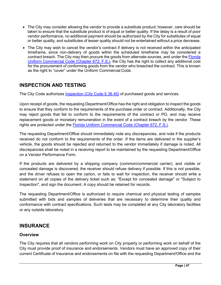- The City may consider allowing the vendor to provide a substitute product; however, care should be taken to ensure that the substitute product is of equal or better quality. If the delay is a result of poor vendor performance, no additional payment should be authorized by the City for substitutes of equal or better quality, and substitutes of lesser quality should not be entertained without a price decrease.
- The City may wish to cancel the vendor's contract if delivery is not received within the anticipated timeframe, since non-delivery of goods within the scheduled timeframe may be considered a contract breach. The City may then procure the goods from alternate sources, and under the [Florida](http://www.leg.state.fl.us/statutes/index.cfm?App_mode=Display_Statute&URL=0600-0699/0672/0672.html)  [Uniform Commercial Code \(Chapter 672, F.S.\),](http://www.leg.state.fl.us/statutes/index.cfm?App_mode=Display_Statute&URL=0600-0699/0672/0672.html) the City has the right to collect any additional cost for the procurement of conforming goods from the vendor who breached the contract. This is known as the right to "cover" under the Uniform Commercial Code.

## <span id="page-46-0"></span>**INSPECTION AND TESTING**

The City Code authorizes [Inspection](https://codelibrary.amlegal.com/codes/hollywood/latest/hollywood_fl/0-0-0-48584) (City Code § 38.45) of purchased goods and services.

Upon receipt of goods, the requesting Department/Office has the right and obligation to inspect the goods to ensure that they conform to the requirements of the purchase order or contract. Additionally, the City may reject goods that fail to conform to the requirements of the contract or PO, and may receive replacement goods or monetary remuneration in the event of a contract breach by the vendor. These rights are protected under the [Florida Uniform Commercial Code \(Chapter 672, F.S.\).](http://www.leg.state.fl.us/statutes/index.cfm?App_mode=Display_Statute&URL=0600-0699/0672/0672.html)

The requesting Department/Office should immediately note any discrepancies, and note if the products received do not conform to the requirements of the order. If the items are delivered in the supplier's vehicle, the goods should be rejected and returned to the vendor immediately if damage is noted. All discrepancies shall be noted in a receiving report to be maintained by the requesting Department/Office on a Vendor Performance Form.

If the products are delivered by a shipping company (common/commercial carrier), and visible or concealed damage is discovered, the receiver should refuse delivery if possible. If this is not possible, and the driver refuses to open the carton, or fails to wait for inspection, the receiver should write a statement on all copies of the delivery ticket such as: "Except for concealed damage" or "Subject to Inspection", and sign the document. A copy should be retained for records.

The requesting Department/Office is authorized to require chemical and physical testing of samples submitted with bids and samples of deliveries that are necessary to determine their quality and conformance with contract specifications. Such tests may be completed at any City laboratory facilities or any outside laboratory.

## <span id="page-46-1"></span>**INSURANCE**

#### <span id="page-46-2"></span>**Overview**

The City requires that all vendors performing work on City property or performing work on behalf of the City must provide proof of insurance and endorsements. Vendors must have an approved copy of their current Certificate of Insurance and endorsements on file with the requesting Department/Office and the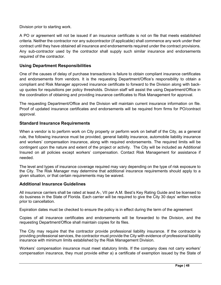Division prior to starting work.

A PO or agreement will not be issued if an insurance certificate is not on file that meets established criteria. Neither the contractor nor any subcontractor (if applicable) shall commence any work under their contract until they have obtained all insurance and endorsements required under the contract provisions. Any sub-contractor used by the contractor shall supply such similar insurance and endorsements required of the contractor.

#### <span id="page-47-0"></span>**Using Department Responsibilities**

One of the causes of delay of purchase transactions is failure to obtain compliant insurance certificates and endorsements from vendors. It is the requesting Department/Office's responsibility to obtain a compliant and Risk Manager approved insurance certificate to forward to the Division along with backup quotes for requisitions per policy thresholds. Division staff will assist the using Department/Office in the coordination of obtaining and providing insurance certificates to Risk Management for approval.

The requesting Department/Office and the Division will maintain current insurance information on file. Proof of updated insurance certificates and endorsements will be required from firms for PO/contract approval.

#### <span id="page-47-1"></span>**Standard Insurance Requirements**

When a vendor is to perform work on City property or perform work on behalf of the City, as a general rule, the following insurance must be provided, general liability insurance, automobile liability insurance and workers' compensation insurance, along with required endorsements. The required limits will be contingent upon the nature and extent of the project or activity. The City will be included as Additional Insured on all policies except workers' compensation. Contact Risk Management for assistance if needed.

The level and types of insurance coverage required may vary depending on the type of risk exposure to the City. The Risk Manager may determine that additional insurance requirements should apply to a given situation, or that certain requirements may be waived.

#### <span id="page-47-2"></span>**Additional Insurance Guidelines**

All insurance carriers shall be rated at least A-, VII per A.M. Best's Key Rating Guide and be licensed to do business in the State of Florida. Each carrier will be required to give the City 30 days' written notice prior to cancellation.

Expiration dates must be checked to ensure the policy is in effect during the term of the agreement

Copies of all insurance certificates and endorsements will be forwarded to the Division, and the requesting Department/Office shall maintain copies for its files.

The City may require that the contractor provide professional liability insurance. If the contractor is providing professional services, the contractor must provide the City with evidence of professional liability insurance with minimum limits established by the Risk Management Division.

Workers' compensation insurance must meet statutory limits. If the company does not carry workers' compensation insurance, they must provide either a) a certificate of exemption issued by the State of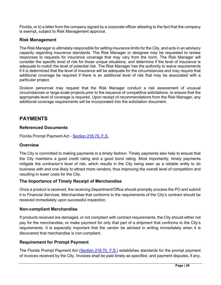Florida, or b) a letter from the company signed by a corporate officer attesting to the fact that the company is exempt, subject to Risk Management approval.

#### <span id="page-48-0"></span>**Risk Management**

The Risk Manager is ultimately responsible for setting insurance limits for the City, and acts in an advisory capacity regarding insurance standards. The Risk Manager or designee may be requested to review responses to requests for insurance coverage that may vary from the norm. The Risk Manager will consider the specific level of risk for those unique situations, and determine if the level of insurance is adequate to match the level of potential risk. The Risk Manager has the authority to waive requirements if it is determined that the level of insurance will be adequate for the circumstances and may require that additional coverage be required if there is an additional level of risk that may be associated with a particular project.

Division personnel may request that the Risk Manager conduct a risk assessment of unusual circumstances or large-scale projects prior to the issuance of competitive solicitations, to ensure that the appropriate level of coverage is required. Upon receipt of recommendations from the Risk Manager, any additional coverage requirements will be incorporated into the solicitation document.

## <span id="page-48-1"></span>**PAYMENTS**

#### <span id="page-48-2"></span>**Referenced Documents**

Florida Prompt Payment Act - [Section 218.70,](http://www.leg.state.fl.us/Statutes/index.cfm?App_mode=Display_Statute&URL=Ch0218/part07.htm&StatuteYear=2001&Title=-%3E2001-%3EChapter%20218-%3EPart%20VII) F.S.

#### <span id="page-48-3"></span>**Overview**

The City is committed to making payments in a timely fashion. Timely payments also help to ensure that the City maintains a good credit rating and a good bond rating. Most importantly, timely payments mitigate the contractor's level of risk, which results in the City being seen as a reliable entity to do business with and one likely to attract more vendors, thus improving the overall level of competition and resulting in lower costs for the City.

#### <span id="page-48-4"></span>**The Importance of Timely Receipt of Merchandise**

Once a product is received, the receiving Department/Office should promptly process the PO and submit it to Financial Services. Merchandise that conforms to the requirements of the City's contract should be received immediately upon successful inspection.

#### <span id="page-48-5"></span>**Non-compliant Merchandise**

If products received are damaged, or not compliant with contract requirements, the City should either not pay for the merchandise, or make payment for only that part of a shipment that conforms to the City's requirements. It is especially important that the vendor be advised in writing immediately when it is discovered that merchandise is non-compliant.

#### <span id="page-48-6"></span>**Requirement for Prompt Payment**

The Florida Prompt Payment Act [\(Section 218.70, F.S.\)](http://www.leg.state.fl.us/Statutes/index.cfm?App_mode=Display_Statute&URL=Ch0218/part07.htm&StatuteYear=2001&Title=-%3E2001-%3EChapter%20218-%3EPart%20VII) establishes standards for the prompt payment of invoices received by the City. Invoices shall be paid timely as specified, and payment disputes, if any,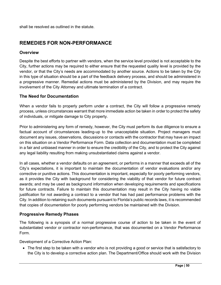shall be resolved as outlined in the statute.

## <span id="page-49-0"></span>**REMEDIES FOR NON-PERFORMANCE**

#### <span id="page-49-1"></span>**Overview**

Despite the best efforts to partner with vendors, when the service level provided is not acceptable to the City, further actions may be required to either ensure that the requested quality level is provided by the vendor, or that the City's needs are accommodated by another source. Actions to be taken by the City in this type of situation should be a part of the feedback delivery process, and should be administered in a progressive manner. Remedial actions must be administered by the Division, and may require the involvement of the City Attorney and ultimate termination of a contract.

#### <span id="page-49-2"></span>**The Need for Documentation**

When a vendor fails to properly perform under a contract, the City will follow a progressive remedy process, unless circumstances warrant that more immediate action be taken in order to protect the safety of individuals, or mitigate damage to City property.

Prior to administering any form of remedy, however, the City must perform its due diligence to ensure a factual account of circumstances leading-up to the unacceptable situation. Project managers must document any issues, observations, discussions or contacts with the contractor that may have an impact on this situation on a Vendor Performance Form. Data collection and documentation must be completed in a fair and unbiased manner in order to ensure the credibility of the City, and to protect the City against any legal liability resulting from making unsubstantiated claims against a vendor.

In all cases, whether a vendor defaults on an agreement, or performs in a manner that exceeds all of the City's expectations, it is important to maintain the documentation of vendor evaluations and/or any corrective or punitive actions. This documentation is important, especially for poorly performing vendors, as it provides the City with background for considering the viability of that vendor for future contract awards; and may be used as background information when developing requirements and specifications for future contracts. Failure to maintain this documentation may result in the City having no viable justification for not awarding a contract to a vendor that has had past performance problems with the City. In addition to retaining such documents pursuant to Florida's public records laws, it is recommended that copies of documentation for poorly performing vendors be maintained with the Division.

#### <span id="page-49-3"></span>**Progressive Remedy Phases**

The following is a synopsis of a normal progressive course of action to be taken in the event of substantiated vendor or contractor non-performance, that was documented on a Vendor Performance Form.

Development of a Corrective Action Plan:

• The first step to be taken with a vendor who is not providing a good or service that is satisfactory to the City is to develop a corrective action plan. The Department/Office should work with the Division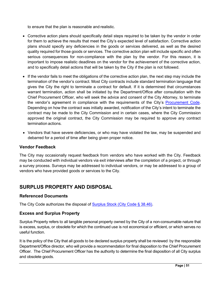to ensure that the plan is reasonable and realistic.

- Corrective action plans should specifically detail steps required to be taken by the vendor in order for them to achieve the results that meet the City's expected level of satisfaction. Corrective action plans should specify any deficiencies in the goods or services delivered, as well as the desired quality required for those goods or services. The corrective action plan will include specific and often serious consequences for non-compliance with the plan by the vendor. For this reason, it is important to impose realistic deadlines on the vendor for the achievement of the corrective action, and to specifically detail actions that will be taken by the City if the plan is not followed.
- If the vendor fails to meet the obligations of the corrective action plan, the next step may include the termination of the vendor's contract. Most City contracts include standard termination language that gives the City the right to terminate a contract for default. If it is determined that circumstances warrant termination, action shall be initiated by the Department/Office after consultation with the Chief Procurement Officer, who will seek the advice and consent of the City Attorney, to terminate the vendor's agreement in compliance with the requirements of the City's [Procurement Code.](https://codelibrary.amlegal.com/codes/hollywood/latest/hollywood_fl/0-0-0-36192) Depending on how the contract was initially awarded, notification of the City's intent to terminate the contract may be made to the City Commission and in certain cases, where the City Commission approved the original contract, the City Commission may be required to approve any contract termination actions.
- Vendors that have severe deficiencies, or who may have violated the law, may be suspended and debarred for a period of time after being given proper notice.

#### <span id="page-50-0"></span>**Vendor Feedback**

The City may occasionally request feedback from vendors who have worked with the City. Feedback may be conducted with individual vendors via exit interviews after the completion of a project, or through a survey process. Surveys may be addressed to individual vendors, or may be addressed to a group of vendors who have provided goods or services to the City.

## <span id="page-50-1"></span>**SURPLUS PROPERTY AND DISPOSAL**

#### <span id="page-50-2"></span>**Referenced Documents**

The City Code authorizes the disposal of [Surplus Stock \(City](https://codelibrary.amlegal.com/codes/hollywood/latest/hollywood_fl/0-0-0-36341) Code § 38.46).

#### <span id="page-50-3"></span>**Excess and Surplus Property**

Surplus Property refers to all tangible personal property owned by the City of a non-consumable nature that is excess, surplus, or obsolete for which the continued use is not economical or efficient, or which serves no useful function.

It is the policy of the City that all goods to be declared surplus property shall be reviewed by the responsible Department/Office director, who will provide a recommendation for final disposition to the Chief Procurement Officer. The Chief Procurement Officer has the authority to determine the final disposition of all City surplus and obsolete goods.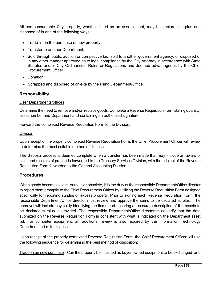All non-consumable City property, whether listed as an asset or not, may be declared surplus and disposed of in one of the following ways:

- Trade-in on the purchase of new property,
- Transfer to another Department,
- Sold through public auction or competitive bid; sold to another government agency; or disposed of in any other manner approved as to legal compliance by the City Attorney in accordance with State Statutes and/or City Ordinances, Rules or Regulations and deemed advantageous by the Chief Procurement Officer,
- Donation,
- Scrapped and disposed of on-site by the using Department/Office.

#### <span id="page-51-0"></span>**Responsibility**

#### User Departments/offices

Determine the need to remove and/or replace goods. Complete a Reverse Requisition Form stating quantity, asset number and Department and containing an authorized signature*.*

Forward the completed Reverse Requisition Form to the Division.

#### Division

Upon receipt of the properly completed Reverse Requisition Form, the Chief Procurement Officer will review to determine the most suitable method of disposal.

The disposal process is deemed complete when a transfer has been made that may include an award of sale, and receipts of proceeds forwarded to the Treasury Services Division, with the original of the Reverse Requisition Form forwarded to the General Accounting Division.

#### <span id="page-51-1"></span>**Procedures**

When goods become excess, surplus or obsolete, it is the duty of the responsible Department/Office director to report them promptly to the Chief Procurement Officer by utilizing the Reverse Requisition Form designed specifically for reporting surplus or excess property. Prior to signing each Reverse Requisition Form, the responsible Department/Office director must review and approve the items to be declared surplus. The approval will include physically identifying the items and ensuring an accurate description of the assets to be declared surplus is provided. The responsible Department/Office director must verify that the data submitted on the Reverse Requisition Form is consistent with what is indicated on the Department asset list. For computer equipment, an additional review is also required by the Information Technology Department prior to disposal.

Upon receipt of the properly completed Reverse Requisition Form, the Chief Procurement Officer will use the following sequence for determining the best method of disposition:

Trade-in on new purchase - Can the property be included as buyer owned equipment to be exchanged and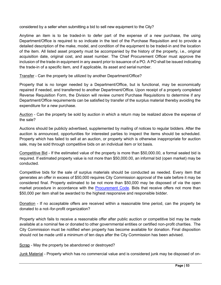considered by a seller when submitting a bid to sell new equipment to the City?

Anytime an item is to be traded-in to defer part of the expense of a new purchase, the using Department/Office is required to so indicate in the text of the Purchase Requisition and to provide a detailed description of the make, model, and condition of the equipment to be traded-in and the location of the item. All listed asset property must be accompanied by the history of the property, i.e., original acquisition date, original cost, and asset number. The Chief Procurement Officer must approve the inclusion of the trade-in equipment in any award prior to issuance of a PO. A PO shall be issued indicating the trade-in of a specific item, and if applicable, its asset and serial number.

Transfer - Can the property be utilized by another Department/Office?

Property that is no longer needed by a Department/Office, but is functional, may be economically repaired if needed, and transferred to another Department/Office. Upon receipt of a properly completed Reverse Requisition Form, the Division will review current Purchase Requisitions to determine if any Department/Office requirements can be satisfied by transfer of the surplus material thereby avoiding the expenditure for a new purchase.

Auction - Can the property be sold by auction in which a return may be realized above the expense of the sale?

Auctions should be publicly advertised, supplemented by mailing of notices to regular bidders. After the auction is announced, opportunities for interested parties to inspect the items should be scheduled. Property which has failed to sell at an auction, or property which is otherwise inappropriate for auction sale, may be sold through competitive bids on an individual item or lot basis.

Competitive Bid - If the estimated value of the property is more than \$50,000.00, a formal sealed bid is required. If estimated property value is not more than \$50,000.00, an informal bid (open market) may be conducted.

Competitive bids for the sale of surplus materials should be conducted as needed. Every item that generates an offer in excess of \$50,000 requires City Commission approval of the sale before it may be considered final. Property estimated to be not more than \$50,000 may be disposed of via the open market procedure in accordance with the [Procurement Code.](https://codelibrary.amlegal.com/codes/hollywood/latest/hollywood_fl/0-0-0-36192) Bids that receive offers not more than \$50,000 per item shall be awarded to the highest responsive and responsible bidder.

Donation - If no acceptable offers are received within a reasonable time period, can the property be donated to a not–for-profit organization?

Property which fails to receive a reasonable offer after public auction or competitive bid may be made available at a nominal fee or donated to other governmental entities or certified non-profit charities. The City Commission must be notified when property has become available for donation. Final disposition should not be made until a minimum of ten days after the City Commission has been advised.

Scrap - May the property be abandoned or destroyed?

Junk Material - Property which has no commercial value and is considered junk may be disposed of on-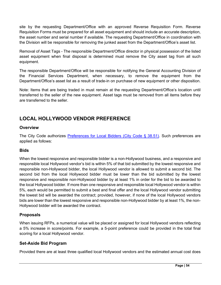site by the requesting Department/Office with an approved Reverse Requisition Form. Reverse Requisition Forms must be prepared for all asset equipment and should include an accurate description, the asset number and serial number if available. The requesting Department/Office in coordination with the Division will be responsible for removing the junked asset from the Department/Office's asset list.

Removal of Asset Tags - The responsible Department/Office director in physical possession of the listed asset equipment when final disposal is determined must remove the City asset tag from all such equipment.

The responsible Department/Office will be responsible for notifying the General Accounting Division of the Financial Services Department, when necessary, to remove the equipment from the Department/Office's asset list as a result of trade-in on purchase of new equipment or other disposition.

Note: Items that are being traded in must remain at the requesting Department/Office's location until transferred to the seller of the new equipment. Asset tags must be removed from all items before they are transferred to the seller.

## **LOCAL HOLLYWOOD VENDOR PREFERENCE**

#### **Overview**

The City Code authorizes [Preferences for Local Bidders \(City](https://codelibrary.amlegal.com/codes/hollywood/latest/hollywood_fl/0-0-0-54575) Code § 38.51). Such preferences are applied as follows:

#### **Bids**

When the lowest responsive and responsible bidder is a non-Hollywood business, and a responsive and responsible local Hollywood vendor's bid is within 5% of that bid submitted by the lowest responsive and responsible non-Hollywood bidder, the local Hollywood vendor is allowed to submit a second bid. The second bid from the local Hollywood bidder must be lower than the bid submitted by the lowest responsive and responsible non-Hollywood bidder by at least 1% in order for the bid to be awarded to the local Hollywood bidder. If more than one responsive and responsible local Hollywood vendor is within 5%, each would be permitted to submit a best and final offer and the local Hollywood vendor submitting the lowest bid will be awarded the contract; provided, however, if none of the local Hollywood vendors bids are lower than the lowest responsive and responsible non-Hollywood bidder by at least 1%, the non-Hollywood bidder will be awarded the contract.

#### **Proposals**

When issuing RFPs, a numerical value will be placed or assigned for local Hollywood vendors reflecting a 5% increase in score/points. For example, a 5-point preference could be provided in the total final scoring for a local Hollywood vendor.

#### **Set-Aside Bid Program**

Provided there are at least three qualified local Hollywood vendors and the estimated annual cost does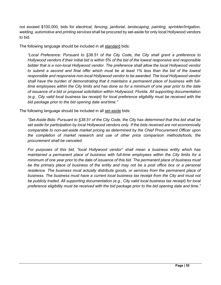not exceed \$100,000, bids for *electrical*, *fencing*, *janitorial*, *landscaping*, *painting, sprinkler/irrigation, welding, automotive* and *printing services* shall be procured by set-aside for only local Hollywood vendors to bid.

The following language should be included in all standard bids:

*"Local Preference: Pursuant to §38.51 of the City Code, the City shall grant a preference to Hollywood vendors if their initial bid is within 5% of the bid of the lowest responsive and responsible bidder that is a non-local Hollywood vendor. The preference shall allow the local Hollywood vendor to submit a second and final offer which must be at least 1% less than the bid of the lowest responsible and responsive non-local Hollywood vendor to be awarded. The local Hollywood vendor shall have the burden of demonstrating that it maintains a permanent place of business with fulltime employees within the City limits and has done so for a minimum of one year prior to the date of issuance of a bid or proposal solicitation within Hollywood, Florida. All supporting documentation (e.g., City valid local business tax receipt) for local preference eligibility must be received with the bid package prior to the bid opening date and time."*

The following language should be included in all set-aside bids:

*"Set-Aside Bids: Pursuant to §38.51 of the City Code, the City has determined that this bid shall be set aside for participation by local Hollywood vendors only. If the bids received are not economically comparable to non-set-aside market pricing as determined by the Chief Procurement Officer upon the completion of market research and use of other price comparison methods/tools, the procurement shall be canceled.*

*For purposes of this bid, "local Hollywood vendor" shall mean a business entity which has maintained a permanent place of business with full-time employees within the City limits for a minimum of one year prior to the date of issuance of this bid. The permanent place of business must*  be the primary place of business of the entity and may not be a post office box or a personal *residence. The business must actually distribute goods, or services from the permanent place of business. The business must have a current local business tax receipt from the City and must not be publicly traded. All supporting documentation (e.g., City valid local business tax receipt) for local preference eligibility must be received with the bid package prior to the bid opening date and time."*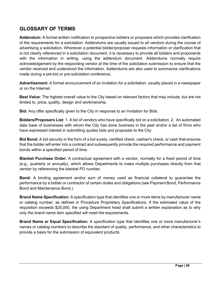## <span id="page-55-0"></span>**GLOSSARY OF TERMS**

**Addendum:** A formal written notification to prospective bidders or proposers which provides clarification of the requirements for a solicitation. Addendums are usually issued to all vendors during the course of advertising a solicitation. Whenever a potential bidder/proposer requests information or clarification that is not clearly referenced in a solicitation document, it is necessary to provide all bidders and proponents with the information in writing, using the addendum document. Addendums normally require acknowledgement by the responding vendor at the time of the solicitation submission to ensure that the vendor received and understood the information. Addendums are also used to summarize clarifications made during a pre-bid or pre-solicitation conference.

**Advertisement:** A formal announcement of an invitation for a solicitation; usually placed in a newspaper or on the Internet.

**Best Value:** The highest overall value to the City based on relevant factors that may include, but are not limited to, price, quality, design and workmanship.

**Bid:** Any offer specifically given to the City in response to an Invitation for Bids.

**Bidders/Proposers List:** 1. A list of vendors who have specifically bid on a solicitation. 2. An automated data base of businesses with whom the City has done business in the past and/or a list of firms who have expressed interest in submitting quotes bids and proposals to the City.

**Bid Bond:** A bid security in the form of a bid surety, certified check, cashier's check, or cash that ensures that the bidder will enter into a contract and subsequently provide the required performance and payment bonds within a specified period of time.

**Blanket Purchase Order:** A contractual agreement with a vendor, normally for a fixed period of time (e.g., quarterly or annually), which allows Departments to make multiple purchases directly from that vendor by referencing the blanket PO number.

**Bond:** A binding agreement and/or sum of money used as financial collateral to guarantee the performance by a bidder or contractor of certain duties and obligations (see Payment Bond, Performance Bond and Maintenance Bond.)

**Brand Name Specification:** A specification type that identifies one or more items by manufacturer name or catalog number, as defined in Procedure Proprietary Specifications. If the estimated value of the requisition exceeds \$25,000, the using Department head shall submit a written explanation as to why only the brand name item specified will meet the requirements.

**Brand Name or Equal Specification:** A specification type that identifies one or more manufacturer's names or catalog numbers to describe the standard of quality, performance, and other characteristics to provide a basis for the submission of equivalent products.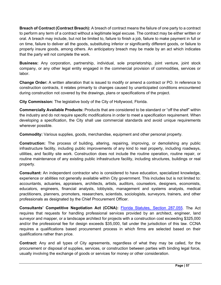**Breach of Contract (Contract Breach):** A breach of contract means the failure of one party to a contract to perform any term of a contract without a legitimate legal excuse. The contract may be either written or oral. A breach may include, but not be limited to, failure to finish a job, failure to make payment in full or on time, failure to deliver all the goods, substituting inferior or significantly different goods, or failure to properly insure goods, among others. An anticipatory breach may be made by an act which indicates that the party will not complete the work.

**Business:** Any corporation, partnership, individual, sole proprietorship, joint venture, joint stock company, or any other legal entity engaged in the commercial provision of commodities, services or labor.

**Change Order:** A written alteration that is issued to modify or amend a contract or PO. In reference to construction contracts, it relates primarily to changes caused by unanticipated conditions encountered during construction not covered by the drawings, plans or specifications of the project.

**City Commission:** The legislative body of the City of Hollywood, Florida.

**Commercially Available Products:** Products that are considered to be standard or "off the shelf" within the industry and do not require specific modifications in order to meet a specification requirement. When developing a specification, the City shall use commercial standards and avoid unique requirements wherever possible.

**Commodity:** Various supplies, goods, merchandise, equipment and other personal property.

**Construction:** The process of building, altering, repairing, improving, or demolishing any public infrastructure facility, including public improvements of any kind to real property, including roadways, utilities, and facility site work. Construction does not include the routine operation, routine repair, or routine maintenance of any existing public infrastructure facility, including structures, buildings or real property.

**Consultant:** An independent contractor who is considered to have education, specialized knowledge, experience or abilities not generally available within City government. This includes but is not limited to: accountants, actuaries, appraisers, architects, artists, auditors, counselors, designers, economists, educators, engineers, financial analysts, lobbyists, management and systems analysts, medical practitioners, planners, promoters, researchers, scientists, sociologists, surveyors, trainers, and other professionals as designated by the Chief Procurement Officer.

**Consultants' Competitive Negotiation Act (CCNA):** Florida Statutes, [Section 287.055.](http://www.leg.state.fl.us/Statutes/index.cfm?App_mode=Display_Statute&URL=0200-0299/0287/Sections/0287.055.html) The Act requires that requests for handling professional services provided by an architect, engineer, land surveyor and mapper, or a landscape architect for projects with a construction cost exceeding \$325,000 and/or the professional fee for design exceeds \$35,000, fall under the jurisdiction of this law. CCNA requires a qualifications based procurement process in which firms are selected based on their qualifications rather than price.

**Contract:** Any and all types of City agreements, regardless of what they may be called, for the procurement or disposal of supplies, services, or construction between parties with binding legal force, usually involving the exchange of goods or services for money or other consideration.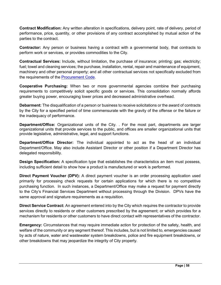**Contract Modification:** Any written alteration in specifications, delivery point, rate of delivery, period of performance, price, quantity, or other provisions of any contract accomplished by mutual action of the parties to the contract.

**Contractor:** Any person or business having a contract with a governmental body, that contracts to perform work or services, or provides commodities to the City.

**Contractual Services:** Include, without limitation, the purchase of insurance; printing; gas; electricity; fuel; towel and cleaning services; the purchase, installation, rental, repair and maintenance of equipment, machinery and other personal property; and all other contractual services not specifically excluded from the requirements of the **Procurement Code**.

**Cooperative Purchasing:** When two or more governmental agencies combine their purchasing requirements to competitively solicit specific goods or services. This consolidation normally affords greater buying power, encouraging lower prices and decreased administrative overhead.

**Debarment:** The disqualification of a person or business to receive solicitations or the award of contracts by the City for a specified period of time commensurate with the gravity of the offense or the failure or the inadequacy of performance.

**Department/Office:** Organizational units of the City. . For the most part, departments are larger organizational units that provide services to the public, and offices are smaller organizational units that provide legislative, administrative, legal, and support functions.

**Department/Office Director:** The individual appointed to act as the head of an individual Department/Office. May also include Assistant Director or other position if a Department Director has delegated responsibility.

**Design Specification:** A specification type that establishes the characteristics an item must possess, including sufficient detail to show how a product is manufactured or work is performed.

**Direct Payment Voucher (DPV):** A direct payment voucher is an order processing application used primarily for processing check requests for certain applications for which there is no competitive purchasing function. In such instances, a Department/Office may make a request for payment directly to the City's Financial Services Department without processing through the Division. DPVs have the same approval and signature requirements as a requisition.

**Direct Service Contract:** An agreement entered into by the City which requires the contractor to provide services directly to residents or other customers prescribed by the agreement; or which provides for a mechanism for residents or other customers to have direct contact with representatives of the contractor.

**Emergency:** Circumstances that may require immediate action for protection of the safety, health, and welfare of the community or any segment thereof. This includes, but is not limited to, emergencies caused by acts of nature, water and wastewater system breakdowns, police and fire equipment breakdowns, or other breakdowns that may jeopardize the integrity of City property.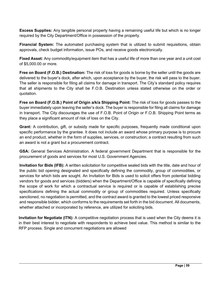**Excess Supplies:** Any tangible personal property having a remaining useful life but which is no longer required by the City Department/Office in possession of the property.

**Financial System:** The automated purchasing system that is utilized to submit requisitions, obtain approvals, check budget information, issue POs, and receive goods electronically.

**Fixed Asset:** Any commodity/equipment item that has a useful life of more than one year and a unit cost of \$5,000.00 or more.

**Free on Board (F.O.B.) Destination:** The risk of loss for goods is borne by the seller until the goods are delivered to the buyer's dock, after which, upon acceptance by the buyer, the risk will pass to the buyer. The seller is responsible for filing all claims for damage in transport. The City's standard policy requires that all shipments to the City shall be F.O.B. Destination unless stated otherwise on the order or quotation.

**Free on Board (F.O.B.) Point of Origin a/k/a Shipping Point:** The risk of loss for goods passes to the buyer immediately upon leaving the seller's dock. The buyer is responsible for filing all claims for damage in transport. The City discourages the use of F.O.B. Point of Origin or F.O.B. Shipping Point terms as they place a significant amount of risk of loss on the City.

**Grant:** A contribution, gift, or subsidy made for specific purposes, frequently made conditional upon specific performance by the grantee. It does not include an award whose primary purpose is to procure an end product, whether in the form of supplies, services, or construction; a contract resulting from such an award is not a grant but a procurement contract.

**GSA:** General Services Administration. A federal government Department that is responsible for the procurement of goods and services for most U.S. Government Agencies.

**Invitation for Bids (IFB):** A written solicitation for competitive sealed bids with the title, date and hour of the public bid opening designated and specifically defining the commodity, group of commodities, or services for which bids are sought. An Invitation for Bids is used to solicit offers from potential bidding vendors for goods and services (bidders) when the Department/Office is capable of specifically defining the scope of work for which a contractual service is required or is capable of establishing precise specifications defining the actual commodity or group of commodities required. Unless specifically sanctioned, no negotiation is permitted, and the contract award is granted to the lowest priced responsive and responsible bidder, which conforms to the requirements set forth in the bid document. All documents, whether attached or incorporated by reference, are utilized for soliciting bids.

**Invitation for Negotiate (ITN):** A competitive negotiation process that is used when the City deems it is in their best interest to negotiate with respondents to achieve best value. This method is similar to the RFP process. Single and concurrent negotiations are allowed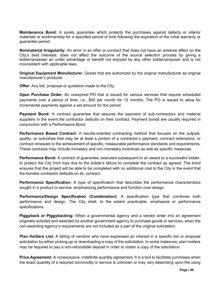**Maintenance Bond:** A surety guarantee which protects the purchases against defects or inferior materials or workmanship for a specified period of time following the expiration of the initial warranty or guarantee period.

**Nonmaterial Irregularity:** An error in an offer or contract that does not have an adverse effect on the City's best interests, does not affect the outcome of the source selection process by giving a bidder/proposer an unfair advantage or benefit not enjoyed by any other bidder/proposer and is not inconsistent with applicable laws.

**Original Equipment Manufacture**r: Goods that are authorized by the original manufacturer as original manufacturer's products.

**Offer:** Any bid, proposal or quotation made to the City.

**Open Purchase Order:** An unexpired PO that is issued for various services that require scheduled payments over a period of time, i.e., \$50 per month for 12 months. The PO is issued to allow for incremental payments against a set amount for the period.

**Payment Bond:** A contract guarantee that assures the payment of sub-contractors and material suppliers in the event the contractor defaults on their contract. Payment bonds are usually required in conjunction with a Performance Bond.

**Performance Based Contract:** A results-oriented contracting method that focuses on the outputs, quality, or outcomes that may tie at least a portion of a contractor's payment, contract extensions, or contract renewals to the achievement of specific, measurable performance standards and requirements. These contracts may include monetary and non-monetary incentives as well as specific measures.

**Performance Bond:** A contract of guarantee, executed subsequent to an award to a successful bidder, to protect the City from loss due to the bidder's failure to complete the contract as agreed. The bond ensures that the project will be able to be completed with no additional cost to the City in the event that the bonded contractor defaults on its contract.

**Performance Specification:** A type of specification that describes the performance characteristics sought in a product or service, emphasizing performance and function over design.

**Performance/Design Specification (Combination):** A specification type that combines both performance and design. The City shall, to the extent practicable, emphasize or performance specifications.

**Piggyback or Piggybacking:** When a governmental agency and a vendor enter into an agreement originally solicited and awarded by another government agency to purchase goods or services, when the non-awarding agency's requirements are not included as a part of the original solicitation.

**Plan Holders List:** A listing of vendors who have expressed an interest in a specific bid or proposal solicitation by either picking-up or downloading a copy of the solicitation. In some instances, plan holders may be required to pay a non-refundable deposit in order to obtain a copy of the solicitation.

**Price Agreement:** A nonexclusive, indefinite quantity agreement. It is a tool to facilitate purchases when the exact quantity of a required commodity or service is unknown or may vary depending upon the using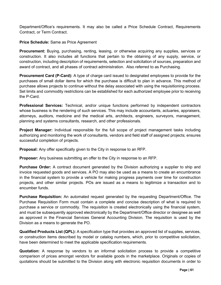Department/Office's requirements. It may also be called a Price Schedule Contract, Requirements Contract, or Term Contract.

#### **Price Schedule:** Same as Price Agreement

**Procurement:** Buying, purchasing, renting, leasing, or otherwise acquiring any supplies, services or construction. It also includes all functions that pertain to the obtaining of any supply, service, or construction, including description of requirements, selection and solicitation of sources, preparation and award of contract, and all phases of contract administration. Also referred to as Purchasing.

**Procurement Card (P-Card):** A type of charge card issued to designated employees to provide for the purchases of small dollar items for which the purchase is difficult to plan in advance. This method of purchase allows projects to continue without the delay associated with using the requisitioning process. Set limits and commodity restrictions can be established for each authorized employee prior to receiving the P-Card.

**Professional Services:** Technical, and/or unique functions performed by independent contractors whose business is the rendering of such services. This may include accountants, actuaries, appraisers, attorneys, auditors, medicine and the medical arts, architects, engineers, surveyors, management, planning and systems consultants, research, and other professionals.

**Project Manager:** Individual responsible for the full scope of project management tasks including authorizing and monitoring the work of consultants, vendors and field staff of assigned projects; ensures successful completion of projects.

**Proposal:** Any offer specifically given to the City in response to an RFP.

**Proposer:** Any business submitting an offer to the City in response to an RFP.

**Purchase Order:** A contract document generated by the Division authorizing a supplier to ship and invoice requested goods and services. A PO may also be used as a means to create an encumbrance in the financial system to provide a vehicle for making progress payments over time for construction projects, and other similar projects. POs are issued as a means to legitimize a transaction and to encumber funds.

**Purchase Requisition:** An automated request generated by the requesting Department/Office. The Purchase Requisition Form must contain a complete and concise description of what is required to purchase a service or commodity. The requisition is created electronically using the financial system, and must be subsequently approved electronically by the Department/Office director or designee as well as approved in the Financial Services General Accounting Division. The requisition is used by the Division as a means to generate the PO.

**Qualified Products List (QPL):** A specification type that provides an approved list of supplies, services, or construction items described by model or catalog numbers, which, prior to competitive solicitation, have been determined to meet the applicable specification requirements.

**Quotation:** A response by vendors to an informal solicitation process to provide a competitive comparison of prices amongst vendors for available goods in the marketplace. Originals or copies of quotations should be submitted to the Division along with electronic requisition documents in order to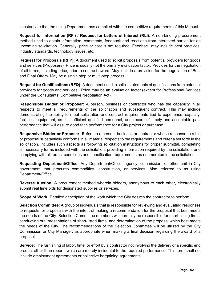substantiate that the using Department has complied with the competitive requirements of this Manual.

**Request for Information (RFI) / Request for Letters of Interest (RLI):** A non-binding procurement method used to obtain information, comments, feedback and reactions from interested parties for an upcoming solicitation. Generally, price or cost is not required. Feedback may include best practices, industry standards, technology issues, etc.

**Request for Proposals (RFP):** A document used to solicit proposals from potential providers for goods and services (Proposers). Price is usually not the primary evaluation factor. Provides for the negotiation of all terms, including price, prior to contract award. May include a provision for the negotiation of Best and Final Offers. May be a single step or multi-step process.

**Request for Qualifications (RFQ):** A document used to solicit statements of qualifications from potential providers for goods and services. Price may be an evaluation factor (except for Professional Services under the Consultants' Competitive Negotiation Act).

**Responsible Bidder or Proposer:** A person, business or contractor who has the capability in all respects to meet all requirements of the solicitation and subsequent contract. This may include demonstrating the ability to meet solicitation and contract requirements tied to experience, capacity, facilities, equipment, credit, sufficient qualified personnel, and record of timely and acceptable past performance that will assure good faith performance for a City project or purchase.

**Responsive Bidder or Proposer: R**efers to a person, business or contractor whose response to a bid or proposal substantially conforms in all material respects to the requirements and criteria set forth in the solicitation. Includes such aspects as following solicitation instructions for proper submittal, completing all necessary forms included with the solicitation, providing information required by the solicitation, and complying with all terms, conditions and specification requirements as enumerated in the solicitation.

**Requesting Department/Office:** Any Department/Office, agency, commission, or other unit in City government that procures commodities, construction, or services. Also referred to as using Department/Office.

**Reverse Auction:** A procurement method wherein bidders, anonymous to each other, electronically submit real time bids for designated supplies or services.

**Scope of Work:** Detailed description of the work which the City desires the contractor to perform.

**Selection Committee:** A group of individuals that is responsible for reviewing and evaluating responses to requests for proposals with the intent of making a recommendation for the proposal that best meets the needs of the City. Selection Committee members will normally be responsible for short-listing firms, conducting oral presentations of short-listed firms, and determination of the proposal which best meets the needs of the City. The recommendations of the Selection Committee will be utilized by the City Commission or City Manager, as appropriate when making a final decision regarding the award of a proposal.

**Service:** The furnishing of labor, time, or effort by a contractor not involving the delivery of a specific end product other than reports which are merely incidental to the required performance. This term shall not include employment agreements or collective bargaining agreements.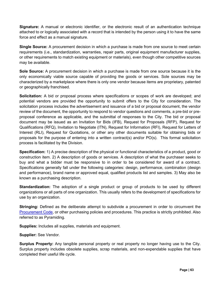**Signature:** A manual or electronic identifier, or the electronic result of an authentication technique attached to or logically associated with a record that is intended by the person using it to have the same force and effect as a manual signature.

**Single Source:** A procurement decision in which a purchase is made from one source to meet certain requirements (i.e., standardization, warranties, repair parts, original equipment manufacturer supplies, or other requirements to match existing equipment or materials), even though other competitive sources may be available.

**Sole Source:** A procurement decision in which a purchase is made from one source because it is the only economically viable source capable of providing the goods or services. Sole sources may be characterized by a marketplace where there is only one vendor because items are proprietary, patented or geographically franchised.

**Solicitation:** A bid or proposal process where specifications or scopes of work are developed; and potential vendors are provided the opportunity to submit offers to the City for consideration. The solicitation process includes the advertisement and issuance of a bid or proposal document, the vendor review of the document, the opportunity to respond to vendor questions and comments, a pre-bid or preproposal conference as applicable, and the submittal of responses to the City. The bid or proposal document may be issued as an Invitation for Bids (IFB), Request for Proposals (RFP), Request for Qualifications (RFQ), Invitation to Negotiate (ITN), Request for Information (RFI), Request for Letters of Interest (RLI), Request for Quotations, or other any other documents suitable for obtaining bids or proposals for the purpose of entering into a written contract(s) and/or PO(s). This formal solicitation process is facilitated by the Division.

**Specification:** 1) A precise description of the physical or functional characteristics of a product, good or construction item. 2) A description of goods or services. A description of what the purchaser seeks to buy and what a bidder must be responsive to in order to be considered for award of a contract. Specifications generally fall under the following categories: design, performance, combination (design and performance), brand name or approved equal, qualified products list and samples. 3) May also be known as a purchasing description.

**Standardization:** The adoption of a single product or group of products to be used by different organizations or all parts of one organization. This usually refers to the development of specifications for use by an organization.

**Stringing:** Defined as the deliberate attempt to subdivide a procurement in order to circumvent the [Procurement Code,](https://codelibrary.amlegal.com/codes/hollywood/latest/hollywood_fl/0-0-0-36192) or other purchasing policies and procedures. This practice is strictly prohibited. Also referred to as Pyramiding.

**Supplies:** Includes all supplies, materials and equipment.

**Supplier:** See Vendor.

**Surplus Property:** Any tangible personal property or real property no longer having use to the City. Surplus property includes obsolete supplies, scrap materials, and non-expendable supplies that have completed their useful life cycle.